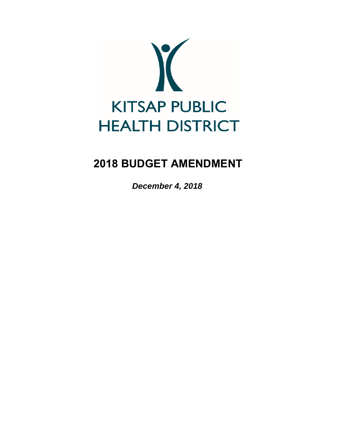

# **2018 BUDGET AMENDMENT**

*December 4, 2018*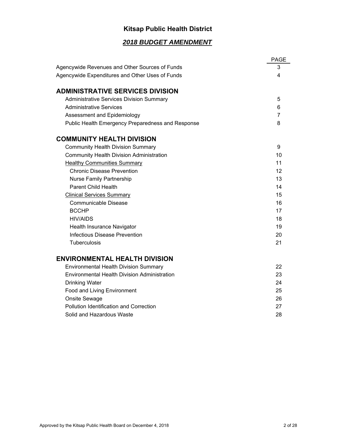# **Kitsap Public Health District**

# *2018 BUDGET AMENDMENT*

|                                                     | <b>PAGE</b> |
|-----------------------------------------------------|-------------|
| Agencywide Revenues and Other Sources of Funds      | 3           |
| Agencywide Expenditures and Other Uses of Funds     | 4           |
| <b>ADMINISTRATIVE SERVICES DIVISION</b>             |             |
| <b>Administrative Services Division Summary</b>     | 5           |
| <b>Administrative Services</b>                      | 6           |
| Assessment and Epidemiology                         | 7           |
| Public Health Emergency Preparedness and Response   | 8           |
| <b>COMMUNITY HEALTH DIVISION</b>                    |             |
| <b>Community Health Division Summary</b>            | 9           |
| <b>Community Health Division Administration</b>     | 10          |
| <b>Healthy Communities Summary</b>                  | 11          |
| <b>Chronic Disease Prevention</b>                   | 12          |
| <b>Nurse Family Partnership</b>                     | 13          |
| <b>Parent Child Health</b>                          | 14          |
| <b>Clinical Services Summary</b>                    | 15          |
| <b>Communicable Disease</b>                         | 16          |
| <b>BCCHP</b>                                        | 17          |
| <b>HIV/AIDS</b>                                     | 18          |
| Health Insurance Navigator                          | 19          |
| <b>Infectious Disease Prevention</b>                | 20          |
| Tuberculosis                                        | 21          |
| <b>ENVIRONMENTAL HEALTH DIVISION</b>                |             |
| <b>Environmental Health Division Summary</b>        | 22          |
| <b>Environmental Health Division Administration</b> | 23          |
| <b>Drinking Water</b>                               | 24          |
| Food and Living Environment                         | 25          |
| Onsite Sewage                                       | 26          |
| <b>Pollution Identification and Correction</b>      | 27          |
| Solid and Hazardous Waste                           | 28          |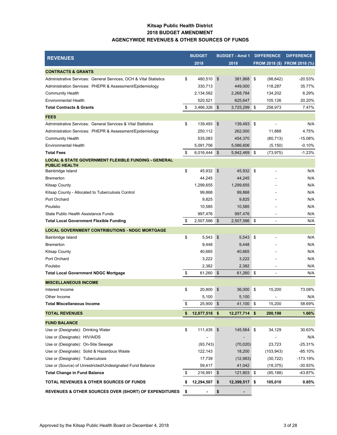### **Kitsap Public Health District 2018 BUDGET AMENDMENT AGENCYWIDE REVENUES & OTHER SOURCES OF FUNDS**

| <b>REVENUES</b>                                                   |     | <b>BUDGET</b> | <b>BUDGET - Amd 1</b> |     | <b>DIFFERENCE</b> | <b>DIFFERENCE</b>            |
|-------------------------------------------------------------------|-----|---------------|-----------------------|-----|-------------------|------------------------------|
|                                                                   |     | 2018          | 2018                  |     |                   | FROM 2018 (\$) FROM 2018 (%) |
| <b>CONTRACTS &amp; GRANTS</b>                                     |     |               |                       |     |                   |                              |
| Administrative Services: General Services, OCH & Vital Statistics | \$  | 480,510       | \$<br>381,868         | \$  | (98, 642)         | $-20.53%$                    |
| Administration Services: PHEPR & Assessment/Epidemiology          |     | 330,713       | 449,000               |     | 118,287           | 35.77%                       |
| <b>Community Health</b>                                           |     | 2,134,582     | 2,268,784             |     | 134,202           | 6.29%                        |
| <b>Environmental Health</b>                                       |     | 520,521       | 625,647               |     | 105,126           | 20.20%                       |
| <b>Total Contracts &amp; Grants</b>                               | \$  | 3,466,326     | \$<br>3,725,299 \$    |     | 258,973           | 7.47%                        |
| <b>FEES</b>                                                       |     |               |                       |     |                   |                              |
| Administrative Services: General Services & Vital Statistics      | \$  | 139,493       | \$<br>139,493 \$      |     |                   | N/A                          |
| Administration Services: PHEPR & Assessment/Epidemiology          |     | 250,112       | 262,000               |     | 11,888            | 4.75%                        |
| <b>Community Health</b>                                           |     | 535,083       | 454,370               |     | (80, 713)         | $-15.08%$                    |
| <b>Environmental Health</b>                                       |     | 5,091,756     | 5,086,606             |     | (5, 150)          | $-0.10%$                     |
| <b>Total Fees</b>                                                 | \$  | 6,016,444     | \$<br>5,942,469 \$    |     | (73, 975)         | $-1.23%$                     |
| <b>LOCAL &amp; STATE GOVERNMENT FLEXIBLE FUNDING - GENERAL</b>    |     |               |                       |     |                   |                              |
| <b>PUBLIC HEALTH</b>                                              | \$  | 45,932        | \$<br>45,932 \$       |     |                   | N/A                          |
| Bainbridge Island                                                 |     |               |                       |     |                   |                              |
| <b>Bremerton</b>                                                  |     | 44,245        | 44,245                |     |                   | N/A                          |
| <b>Kitsap County</b>                                              |     | 1,299,655     | 1,299,655             |     |                   | N/A                          |
| Kitsap County - Allocated to Tuberculosis Control                 |     | 99,868        | 99,868                |     |                   | N/A                          |
| Port Orchard                                                      |     | 9,825         | 9,825                 |     |                   | N/A                          |
| Poulsbo                                                           |     | 10,585        | 10,585                |     |                   | N/A                          |
| State Public Health Assistance Funds                              |     | 997,476       | 997,476               |     |                   | N/A                          |
| <b>Total Local Government Flexible Funding</b>                    | \$  | 2,507,586     | \$<br>2,507,586 \$    |     |                   | N/A                          |
| <b>LOCAL GOVERNMENT CONTRIBUTIONS - NDGC MORTGAGE</b>             |     |               |                       |     |                   |                              |
| Bainbridge Island                                                 | \$  | 5,543         | \$<br>5,543           | ∣\$ |                   | N/A                          |
| <b>Bremerton</b>                                                  |     | 9,448         | 9,448                 |     |                   | N/A                          |
| <b>Kitsap County</b>                                              |     | 40,665        | 40,665                |     |                   | N/A                          |
| Port Orchard                                                      |     | 3,222         | 3,222                 |     |                   | N/A                          |
| Poulsbo                                                           |     | 2,382         | 2,382                 |     |                   | N/A                          |
| <b>Total Local Government NDGC Mortgage</b>                       | \$  | 61,260        | 61,260 \$<br>\$       |     |                   | N/A                          |
| <b>MISCELLANEOUS INCOME</b>                                       |     |               |                       |     |                   |                              |
| Interest Income                                                   | \$  | 20,800        | 36,000 \$<br>\$       |     | 15,200            | 73.08%                       |
| Other Income                                                      |     | 5,100         | 5,100                 |     |                   | N/A                          |
| <b>Total Miscellaneous Income</b>                                 | \$  | 25,900 \$     | 41,100 \$             |     | 15,200            | 58.69%                       |
| <b>TOTAL REVENUES</b>                                             | \$  | 12,077,516 \$ | $12,277,714$ \$       |     | 200,198           | 1.66%                        |
| <b>FUND BALANCE</b>                                               |     |               |                       |     |                   |                              |
| Use or (Designate): Drinking Water                                | \$  | $111,435$ \$  | 145,564 \$            |     | 34,129            | 30.63%                       |
| Use or (Designate): HIV/AIDS                                      |     |               |                       |     |                   | N/A                          |
| Use or (Designate): On-Site Sewage                                |     | (93, 743)     | (70,020)              |     | 23,723            | $-25.31%$                    |
| Use or (Designate): Solid & Hazardous Waste                       |     | 122,143       | 18,200                |     | (103, 943)        | $-85.10%$                    |
| Use or (Designate): Tuberculosis                                  |     | 17,739        | (12,983)              |     | (30, 722)         | -173.19%                     |
| Use or (Source) of Unrestricted/Undesignated Fund Balance         |     | 59,417        | 41,042                |     | (18, 375)         | $-30.93%$                    |
| Total Change in Fund Balance                                      | \$  | $216,991$ \$  | 121,803 \$            |     | (95, 188)         | -43.87%                      |
| <b>TOTAL REVENUES &amp; OTHER SOURCES OF FUNDS</b>                | \$  | 12,294,507    | \$<br>12,399,517 \$   |     | 105,010           | 0.85%                        |
| <b>REVENUES &amp; OTHER SOURCES OVER (SHORT) OF EXPENDITURES</b>  | -\$ |               | \$                    |     |                   |                              |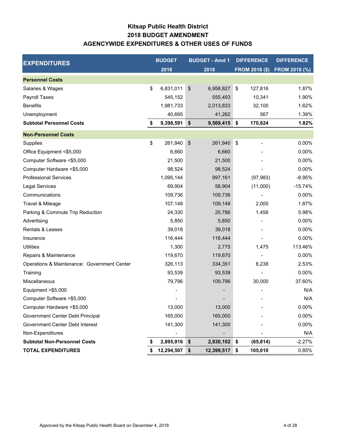# **Kitsap Public Health District AGENCYWIDE EXPENDITURES & OTHER USES OF FUNDS 2018 BUDGET AMENDMENT**

| <b>EXPENDITURES</b>                         |    | <b>BUDGET</b> |               | <b>BUDGET - Amd 1</b> | <b>DIFFERENCE</b> | <b>DIFFERENCE</b>            |
|---------------------------------------------|----|---------------|---------------|-----------------------|-------------------|------------------------------|
|                                             |    | 2018          |               | 2018                  |                   | FROM 2018 (\$) FROM 2018 (%) |
| <b>Personnel Costs</b>                      |    |               |               |                       |                   |                              |
| Salaries & Wages                            | \$ | 6,831,011     | \$            | 6,958,827             | \$<br>127,816     | 1.87%                        |
| Payroll Taxes                               |    | 545,152       |               | 555,493               | 10,341            | 1.90%                        |
| <b>Benefits</b>                             |    | 1,981,733     |               | 2,013,833             | 32,100            | 1.62%                        |
| Unemployment                                |    | 40,695        |               | 41,262                | 567               | 1.39%                        |
| <b>Subtotal Personnel Costs</b>             | \$ | 9,398,591     | \$            | 9,569,415             | \$<br>170,824     | 1.82%                        |
| <b>Non-Personnel Costs</b>                  |    |               |               |                       |                   |                              |
| Supplies                                    | \$ | 261,940       | $\frac{1}{2}$ | 261,940               | \$                | 0.00%                        |
| Office Equipment <\$5,000                   |    | 6,660         |               | 6,660                 |                   | 0.00%                        |
| Computer Software <\$5,000                  |    | 21,500        |               | 21,500                |                   | 0.00%                        |
| Computer Hardware <\$5,000                  |    | 98,524        |               | 98,524                |                   | 0.00%                        |
| <b>Professional Services</b>                |    | 1,095,144     |               | 997,161               | (97, 983)         | $-8.95%$                     |
| Legal Services                              |    | 69,904        |               | 58,904                | (11,000)          | $-15.74%$                    |
| Communications                              |    | 109,736       |               | 109,736               |                   | 0.00%                        |
| Travel & Mileage                            |    | 107,148       |               | 109,148               | 2,000             | 1.87%                        |
| Parking & Commute Trip Reduction            |    | 24,330        |               | 25,786                | 1,456             | 5.98%                        |
| Advertising                                 |    | 5,850         |               | 5,850                 |                   | 0.00%                        |
| Rentals & Leases                            |    | 39,018        |               | 39,018                |                   | 0.00%                        |
| Insurance                                   |    | 116,444       |               | 116,444               |                   | 0.00%                        |
| <b>Utilities</b>                            |    | 1,300         |               | 2,775                 | 1,475             | 113.46%                      |
| Repairs & Maintenance                       |    | 119,670       |               | 119,670               |                   | 0.00%                        |
| Operations & Maintenance: Government Center |    | 326,113       |               | 334,351               | 8,238             | 2.53%                        |
| Training                                    |    | 93,539        |               | 93,539                |                   | 0.00%                        |
| Miscellaneous                               |    | 79,796        |               | 109,796               | 30,000            | 37.60%                       |
| Equipment >\$5,000                          |    |               |               |                       |                   | N/A                          |
| Computer Software > \$5,000                 |    |               |               |                       |                   | N/A                          |
| Computer Hardware > \$5,000                 |    | 13,000        |               | 13,000                |                   | 0.00%                        |
| Government Center Debt Principal            |    | 165,000       |               | 165,000               |                   | 0.00%                        |
| Government Center Debt Interest             |    | 141,300       |               | 141,300               |                   | 0.00%                        |
| Non-Expenditures                            |    |               |               |                       |                   | N/A                          |
| <b>Subtotal Non-Personnel Costs</b>         | 5  | 2,895,916     | \$            | 2,830,102             | \$<br>(65, 814)   | $-2.27%$                     |
| <b>TOTAL EXPENDITURES</b>                   |    | 12,294,507    | \$            | 12,399,517            | \$<br>105,010     | 0.85%                        |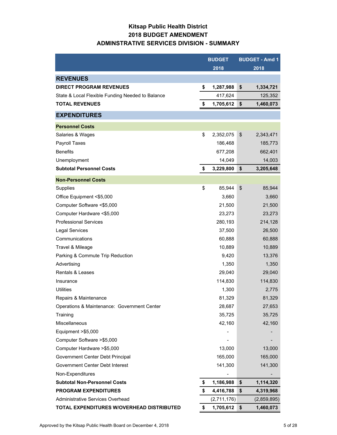# **Kitsap Public Health District 2018 BUDGET AMENDMENT ADMINSTRATIVE SERVICES DIVISION - SUMMARY**

|                                                  | <b>BUDGET</b>   | <b>BUDGET - Amd 1</b> |
|--------------------------------------------------|-----------------|-----------------------|
|                                                  | 2018            | 2018                  |
| <b>REVENUES</b>                                  |                 |                       |
| <b>DIRECT PROGRAM REVENUES</b>                   | \$<br>1,287,988 | \$<br>1,334,721       |
| State & Local Flexible Funding Needed to Balance | 417,624         | 125,352               |
| <b>TOTAL REVENUES</b>                            | \$<br>1,705,612 | \$<br>1,460,073       |
| <b>EXPENDITURES</b>                              |                 |                       |
| <b>Personnel Costs</b>                           |                 |                       |
| Salaries & Wages                                 | \$<br>2,352,075 | \$<br>2,343,471       |
| Payroll Taxes                                    | 186,468         | 185,773               |
| <b>Benefits</b>                                  | 677,208         | 662,401               |
| Unemployment                                     | 14,049          | 14,003                |
| <b>Subtotal Personnel Costs</b>                  | \$<br>3,229,800 | \$<br>3,205,648       |
| <b>Non-Personnel Costs</b>                       |                 |                       |
| Supplies                                         | \$<br>85,944    | \$<br>85,944          |
| Office Equipment <\$5,000                        | 3,660           | 3,660                 |
| Computer Software <\$5,000                       | 21,500          | 21,500                |
| Computer Hardware <\$5,000                       | 23,273          | 23,273                |
| <b>Professional Services</b>                     | 280,193         | 214,128               |
| <b>Legal Services</b>                            | 37,500          | 26,500                |
| Communications                                   | 60,888          | 60,888                |
| Travel & Mileage                                 | 10,889          | 10,889                |
| Parking & Commute Trip Reduction                 | 9,420           | 13,376                |
| Advertising                                      | 1,350           | 1,350                 |
| <b>Rentals &amp; Leases</b>                      | 29,040          | 29,040                |
| Insurance                                        | 114,830         | 114,830               |
| <b>Utilities</b>                                 | 1,300           | 2,775                 |
| Repairs & Maintenance                            | 81,329          | 81,329                |
| Operations & Maintenance: Government Center      | 28,687          | 27,653                |
| Training                                         | 35,725          | 35,725                |
| <b>Miscellaneous</b>                             | 42,160          | 42,160                |
| Equipment >\$5,000                               |                 |                       |
| Computer Software > \$5,000                      |                 |                       |
| Computer Hardware > \$5,000                      | 13,000          | 13,000                |
| Government Center Debt Principal                 | 165,000         | 165,000               |
| Government Center Debt Interest                  | 141,300         | 141,300               |
| Non-Expenditures                                 |                 |                       |
| <b>Subtotal Non-Personnel Costs</b>              | \$<br>1,186,988 | \$<br>1,114,320       |
| <b>PROGRAM EXPENDITURES</b>                      | \$<br>4,416,788 | \$<br>4,319,968       |
| Administrative Services Overhead                 | (2,711,176)     | (2,859,895)           |
| TOTAL EXPENDITURES W/OVERHEAD DISTRIBUTED        | \$<br>1,705,612 | \$<br>1,460,073       |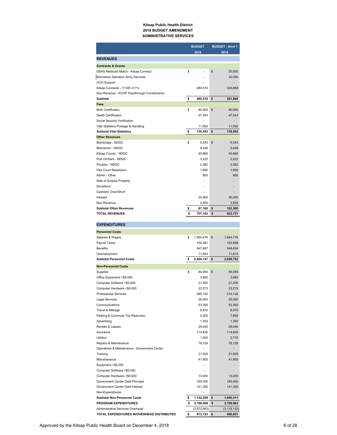#### **Kitsap Public Health District 2018 BUDGET AMENDMENT ADMINISTRATIVE SERVICES**

|                                                         |          | <b>BUDGET</b>             | <b>BUDGET - Amd 1</b>    |
|---------------------------------------------------------|----------|---------------------------|--------------------------|
|                                                         |          | 2018                      | 2018                     |
| <b>REVENUES</b>                                         |          |                           |                          |
| <b>Contracts &amp; Grants</b>                           |          |                           |                          |
| DSHS Medicaid Match - Kitsap Connect                    | \$       |                           | \$<br>25,000             |
| Bremerton Salvation Army Services                       |          |                           | 30,000                   |
| <b>OCH Support</b>                                      |          |                           |                          |
| Kitsap Connects - 1/10th of 1%                          |          | 480,510                   | 326,868                  |
| Non-Revenue - KCHP Passthrough Contributions            |          | $\overline{a}$            |                          |
| <b>Subtotal</b>                                         | \$       | 480,510                   | \$<br>381,868            |
| <b>Fees</b><br><b>Birth Certificates</b>                |          |                           |                          |
| Death Certificates                                      | \$       | 80,000<br>47,543          | \$<br>80,000<br>47,543   |
| Social Security Verification                            |          |                           |                          |
| Vital Statistics Postage & Handling                     |          | 11,950                    | 11,950                   |
| <b>Subtotal Vital Statistics</b>                        | \$       | 139,493                   | \$<br>139,493            |
| <b>Other Revenues</b>                                   |          |                           |                          |
| Bainbridge - NDGC                                       | \$       | 5,543                     | \$<br>5,543              |
| Bremerton - NDGC                                        |          | 9,448                     | 9,448                    |
| Kitsap County - NDGC                                    |          | 40,665                    | 40,665                   |
| Port Orchard - NDGC                                     |          | 3,222                     | 3,222                    |
| Poulsbo - NDGC                                          |          | 2,382                     | 2,382                    |
| <b>Flex Court Restitution</b>                           |          | 1.650                     | 1,650                    |
| Admin - Other                                           |          | 800                       | 800                      |
| Sale of Surplus Property                                |          |                           |                          |
| Donations                                               |          |                           |                          |
| Cashiers' Over/Short                                    |          |                           |                          |
| Interest                                                |          | 20,800                    | 36,000                   |
| Non-Revenue                                             |          | 2,650                     | 2,650                    |
| <b>Subtotal Other Revenues</b><br><b>TOTAL REVENUES</b> | \$<br>\$ | 87,160                    | \$<br>102,360            |
|                                                         |          | 707,163                   | \$<br>623,721            |
| <b>EXPENDITURES</b>                                     |          |                           |                          |
|                                                         |          |                           |                          |
|                                                         |          |                           |                          |
| <b>Personnel Costs</b>                                  |          |                           |                          |
| Salaries & Wages                                        | \$       | 1,950,476                 | \$<br>1,944,776          |
| Payroll Taxes<br><b>Benefits</b>                        |          | 154,381                   | 153,908                  |
| Unemployment                                            |          | 547,697<br>11,643         | 548,454<br>11,614        |
| <b>Subtotal Personnel Costs</b>                         | \$       | 2,664,197                 | \$<br>2,658,752          |
|                                                         |          |                           |                          |
| <b>Non-Personnel Costs</b>                              |          |                           |                          |
| Supplies                                                | \$       | 84,084<br>3,660           | \$<br>84,084             |
| Office Equipment <\$5,000<br>Computer Software <\$5,000 |          | 21,200                    | 3,660<br>21,200          |
| Computer Hardware <\$5,000                              |          | 23,273                    | 23,273                   |
| <b>Professional Services</b>                            |          | 280,193                   | 214,128                  |
| <b>Legal Services</b>                                   |          | 36,000                    | 25,000                   |
| Communications                                          |          | 53,350                    | 53,350                   |
| Travel & Mileage                                        |          | 8,470                     | 8,470                    |
| Parking & Commute Trip Reduction                        |          | 4,200                     | 7,892                    |
| Advertising                                             |          | 1,350                     | 1,350                    |
| Rentals & Leases                                        |          | 29,040                    | 29,040                   |
| Insurance                                               |          | 114,830                   | 114,830                  |
| Utilities                                               |          | 1,300                     | 2,775                    |
| Repairs & Maintenance                                   |          | 78,129                    | 78,129                   |
| Operations & Maintenance: Government Center             |          | $\overline{\phantom{a}}$  | $\overline{\phantom{a}}$ |
| Training                                                |          | 21,925                    | 21,925                   |
| Miscellaneous                                           |          | 41,905                    | 41,905                   |
| Equipment >\$5,000                                      |          | $\overline{a}$            |                          |
| Computer Software > \$5,000                             |          | Ĭ.                        |                          |
| Computer Hardware > \$5,000                             |          | 13,000                    | 13,000                   |
| Government Center Debt Principal                        |          | 165,000                   | 165,000                  |
| Government Center Debt Interest<br>Non-Expenditures     |          | 141,300<br>$\overline{a}$ | 141,300                  |
| <b>Subtotal Non-Personnel Costs</b>                     | \$       | 1,122,209                 | \$<br>1,050,311          |

Administrative Services Overhead<br>
TOTAL EXPENDITURES W/OVERHEAD DISTRIBUTED 5 813,723 \$590,931

**TOTAL EXPENDITURES W/OVERHEAD DISTRIBUTED \$**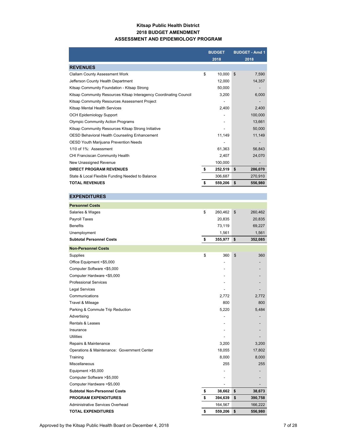### **Kitsap Public Health District 2018 BUDGET AMENDMENT ASSESSMENT AND EPIDEMIOLOGY PROGRAM**

|                                                                    | <b>BUDGET</b> |         | <b>BUDGET - Amd 1</b> |
|--------------------------------------------------------------------|---------------|---------|-----------------------|
|                                                                    |               | 2018    | 2018                  |
| <b>REVENUES</b>                                                    |               |         |                       |
| <b>Clallam County Assessment Work</b>                              | \$            | 10,000  | \$<br>7,590           |
| Jefferson County Health Department                                 |               | 12,000  | 14,357                |
| Kitsap Community Foundation - Kitsap Strong                        |               | 50,000  |                       |
| Kitsap Community Resources Kitsap Interagency Coordinating Council |               | 3,200   | 6,000                 |
| Kitsap Community Resources Assessment Project                      |               |         |                       |
| Kitsap Mental Health Services                                      |               | 2,400   | 2,400                 |
| <b>OCH Epidemiology Support</b>                                    |               |         | 100,000               |
| <b>Olympic Community Action Programs</b>                           |               |         | 13,661                |
| Kitsap Community Resources Kitsap Strong Initiative                |               |         | 50,000                |
| OESD Behavioral Health Counseling Enhancement                      |               | 11,149  | 11,149                |
| <b>OESD Youth Marijuana Prevention Needs</b>                       |               |         |                       |
| 1/10 of 1%: Assessment                                             |               | 61,363  | 56,843                |
| CHI Franciscan Community Health                                    |               | 2,407   | 24,070                |
| New Unassigned Revenue                                             |               | 100,000 |                       |
| <b>DIRECT PROGRAM REVENUES</b>                                     | \$            | 252,519 | \$<br>286,070         |
| State & Local Flexible Funding Needed to Balance                   |               | 306,687 | 270,910               |
| <b>TOTAL REVENUES</b>                                              |               | 559,206 | \$<br>556,980         |

| <b>EXPENDITURES</b>                         |               |               |
|---------------------------------------------|---------------|---------------|
| <b>Personnel Costs</b>                      |               |               |
| Salaries & Wages                            | \$<br>260,462 | \$<br>260,462 |
| Payroll Taxes                               | 20,835        | 20,835        |
| <b>Benefits</b>                             | 73,119        | 69,227        |
| Unemployment                                | 1,561         | 1,561         |
| <b>Subtotal Personnel Costs</b>             | \$<br>355,977 | \$<br>352,085 |
| <b>Non-Personnel Costs</b>                  |               |               |
| Supplies                                    | \$<br>360     | \$<br>360     |
| Office Equipment <\$5,000                   |               |               |
| Computer Software <\$5,000                  |               |               |
| Computer Hardware <\$5,000                  |               |               |
| <b>Professional Services</b>                |               |               |
| Legal Services                              |               |               |
| Communications                              | 2,772         | 2,772         |
| Travel & Mileage                            | 800           | 800           |
| Parking & Commute Trip Reduction            | 5,220         | 5,484         |
| Advertising                                 | ٠             |               |
| <b>Rentals &amp; Leases</b>                 |               |               |
| Insurance                                   |               |               |
| Utilities                                   |               |               |
| Repairs & Maintenance                       | 3,200         | 3,200         |
| Operations & Maintenance: Government Center | 18,055        | 17,802        |
| Training                                    | 8,000         | 8,000         |
| <b>Miscellaneous</b>                        | 255           | 255           |
| Equipment > \$5,000                         |               |               |
| Computer Software > \$5,000                 | ٠             |               |
| Computer Hardware >\$5,000                  |               |               |
| <b>Subtotal Non-Personnel Costs</b>         | \$<br>38,662  | \$<br>38,673  |
| <b>PROGRAM EXPENDITURES</b>                 | \$<br>394,639 | \$<br>390,758 |
| Administrative Services Overhead            | 164,567       | 166,222       |
| <b>TOTAL EXPENDITURES</b>                   | \$<br>559,206 | \$<br>556,980 |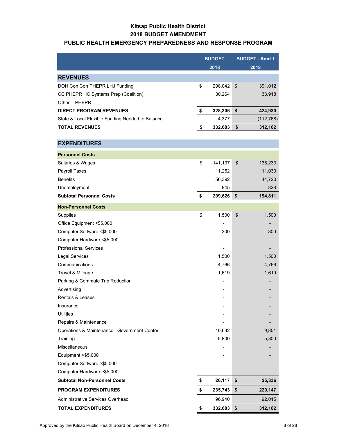### **Kitsap Public Health District 2018 BUDGET AMENDMENT**

### **PUBLIC HEALTH EMERGENCY PREPAREDNESS AND RESPONSE PROGRAM**

|                                                  | <b>BUDGET</b> | <b>BUDGET - Amd 1</b> |
|--------------------------------------------------|---------------|-----------------------|
|                                                  | 2018          | 2018                  |
| <b>REVENUES</b>                                  |               |                       |
| DOH Con Con PHEPR LHJ Funding                    | \$<br>298,042 | \$<br>391,012         |
| CC PHEPR HC Systems Prep (Coalition)             | 30,264        | 33,918                |
| Other - PHEPR                                    |               |                       |
| <b>DIRECT PROGRAM REVENUES</b>                   | \$<br>328,306 | \$<br>424,930         |
| State & Local Flexible Funding Needed to Balance | 4,377         | (112, 768)            |
| <b>TOTAL REVENUES</b>                            | \$<br>332,683 | \$<br>312,162         |
|                                                  |               |                       |
| <b>EXPENDITURES</b>                              |               |                       |
| <b>Personnel Costs</b>                           |               |                       |
| Salaries & Wages                                 | \$<br>141,137 | \$<br>138,233         |
| Payroll Taxes                                    | 11,252        | 11,030                |
| <b>Benefits</b>                                  | 56,392        | 44,720                |
| Unemployment                                     | 845           | 828                   |
| <b>Subtotal Personnel Costs</b>                  | \$<br>209,626 | \$<br>194,811         |
| <b>Non-Personnel Costs</b>                       |               |                       |
| Supplies                                         | \$<br>1,500   | \$<br>1,500           |
| Office Equipment <\$5,000                        |               |                       |
| Computer Software <\$5,000                       | 300           | 300                   |
| Computer Hardware <\$5,000                       |               |                       |
| <b>Professional Services</b>                     |               |                       |
| <b>Legal Services</b>                            | 1,500         | 1,500                 |
| Communications                                   | 4,766         | 4,766                 |
| Travel & Mileage                                 | 1,619         | 1,619                 |
| Parking & Commute Trip Reduction                 |               |                       |
| Advertising                                      |               |                       |
| Rentals & Leases                                 |               |                       |
| Insurance                                        |               |                       |
| <b>Utilities</b>                                 |               |                       |
| Repairs & Maintenance                            |               |                       |
| Operations & Maintenance: Government Center      | 10,632        | 9,851                 |
| Training                                         | 5,800         | 5,800                 |
| <b>Miscellaneous</b>                             |               |                       |
| Equipment >\$5,000                               |               |                       |
| Computer Software > \$5,000                      |               |                       |
| Computer Hardware > \$5,000                      |               |                       |
| <b>Subtotal Non-Personnel Costs</b>              | \$<br>26,117  | \$<br>25,336          |
| <b>PROGRAM EXPENDITURES</b>                      | \$<br>235,743 | \$<br>220,147         |
| Administrative Services Overhead                 | 96,940        | 92,015                |
| <b>TOTAL EXPENDITURES</b>                        | \$<br>332,683 | \$<br>312,162         |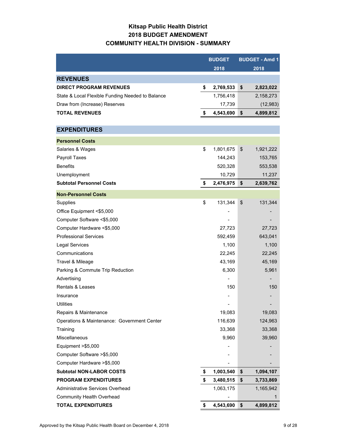# **Kitsap Public Health District 2018 BUDGET AMENDMENT COMMUNITY HEALTH DIVISION - SUMMARY**

|                                                  | <b>BUDGET</b>   | <b>BUDGET - Amd 1</b> |           |  |
|--------------------------------------------------|-----------------|-----------------------|-----------|--|
|                                                  | 2018            |                       | 2018      |  |
| <b>REVENUES</b>                                  |                 |                       |           |  |
| <b>DIRECT PROGRAM REVENUES</b>                   | \$<br>2,769,533 | \$                    | 2,823,022 |  |
| State & Local Flexible Funding Needed to Balance | 1,756,418       |                       | 2,158,273 |  |
| Draw from (Increase) Reserves                    | 17,739          |                       | (12, 983) |  |
| <b>TOTAL REVENUES</b>                            | \$<br>4,543,690 | \$                    | 4,899,812 |  |
|                                                  |                 |                       |           |  |
| <b>EXPENDITURES</b>                              |                 |                       |           |  |
| <b>Personnel Costs</b>                           |                 |                       |           |  |
| Salaries & Wages                                 | \$<br>1,801,675 | \$                    | 1,921,222 |  |
| Payroll Taxes                                    | 144,243         |                       | 153,765   |  |
| <b>Benefits</b>                                  | 520,328         |                       | 553,538   |  |
| Unemployment                                     | 10,729          |                       | 11,237    |  |
| <b>Subtotal Personnel Costs</b>                  | \$<br>2,476,975 | \$                    | 2,639,762 |  |
| <b>Non-Personnel Costs</b>                       |                 |                       |           |  |
| Supplies                                         | \$<br>131,344   | \$                    | 131,344   |  |
| Office Equipment <\$5,000                        |                 |                       |           |  |
| Computer Software <\$5,000                       |                 |                       |           |  |
| Computer Hardware <\$5,000                       | 27,723          |                       | 27,723    |  |
| <b>Professional Services</b>                     | 592,459         |                       | 643,041   |  |
| <b>Legal Services</b>                            | 1,100           |                       | 1,100     |  |
| Communications                                   | 22,245          |                       | 22,245    |  |
| Travel & Mileage                                 | 43,169          |                       | 45,169    |  |
| Parking & Commute Trip Reduction                 | 6,300           |                       | 5,961     |  |
| Advertising                                      |                 |                       |           |  |
| <b>Rentals &amp; Leases</b>                      | 150             |                       | 150       |  |
| Insurance                                        |                 |                       |           |  |
| <b>Utilities</b>                                 |                 |                       |           |  |
| Repairs & Maintenance                            | 19,083          |                       | 19,083    |  |
| Operations & Maintenance: Government Center      | 116,639         |                       | 124,963   |  |
| Training                                         | 33,368          |                       | 33,368    |  |
| Miscellaneous                                    | 9,960           |                       | 39,960    |  |
| Equipment > \$5,000                              |                 |                       |           |  |
| Computer Software > \$5,000                      |                 |                       |           |  |
| Computer Hardware >\$5,000                       |                 |                       |           |  |
| <b>Subtotal NON-LABOR COSTS</b>                  | \$<br>1,003,540 | \$                    | 1,094,107 |  |
| <b>PROGRAM EXPENDITURES</b>                      | \$<br>3,480,515 | \$                    | 3,733,869 |  |
| Administrative Services Overhead                 | 1,063,175       |                       | 1,165,942 |  |
| <b>Community Health Overhead</b>                 |                 |                       | 1         |  |
| <b>TOTAL EXPENDITURES</b>                        | \$<br>4,543,690 | \$                    | 4,899,812 |  |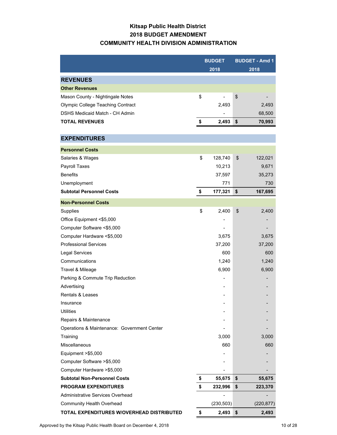# **Kitsap Public Health District 2018 BUDGET AMENDMENT COMMUNITY HEALTH DIVISION ADMINISTRATION**

|                                             | <b>BUDGET</b> |            | <b>BUDGET - Amd 1</b> |            |
|---------------------------------------------|---------------|------------|-----------------------|------------|
|                                             |               | 2018       |                       | 2018       |
| <b>REVENUES</b>                             |               |            |                       |            |
| <b>Other Revenues</b>                       |               |            |                       |            |
| Mason County - Nightingale Notes            | \$            |            | \$                    |            |
| <b>Olympic College Teaching Contract</b>    |               | 2,493      |                       | 2,493      |
| DSHS Medicaid Match - CH Admin              |               |            |                       | 68,500     |
| <b>TOTAL REVENUES</b>                       | \$            | 2,493      | -\$                   | 70,993     |
|                                             |               |            |                       |            |
| <b>EXPENDITURES</b>                         |               |            |                       |            |
| <b>Personnel Costs</b>                      |               |            |                       |            |
| Salaries & Wages                            | \$            | 128,740    | \$                    | 122,021    |
| Payroll Taxes                               |               | 10,213     |                       | 9,671      |
| <b>Benefits</b>                             |               | 37,597     |                       | 35,273     |
| Unemployment                                |               | 771        |                       | 730        |
| <b>Subtotal Personnel Costs</b>             | \$            | 177,321    | \$                    | 167,695    |
| <b>Non-Personnel Costs</b>                  |               |            |                       |            |
| Supplies                                    | \$            | 2,400      | \$                    | 2,400      |
| Office Equipment <\$5,000                   |               |            |                       |            |
| Computer Software <\$5,000                  |               |            |                       |            |
| Computer Hardware <\$5,000                  |               | 3,675      |                       | 3,675      |
| <b>Professional Services</b>                |               | 37,200     |                       | 37,200     |
| <b>Legal Services</b>                       |               | 600        |                       | 600        |
| Communications                              |               | 1,240      |                       | 1,240      |
| Travel & Mileage                            |               | 6,900      |                       | 6,900      |
| Parking & Commute Trip Reduction            |               |            |                       |            |
| Advertising                                 |               |            |                       |            |
| <b>Rentals &amp; Leases</b>                 |               |            |                       |            |
| Insurance                                   |               |            |                       |            |
| Utilities                                   |               |            |                       |            |
| Repairs & Maintenance                       |               |            |                       |            |
| Operations & Maintenance: Government Center |               |            |                       |            |
| Training                                    |               | 3,000      |                       | 3,000      |
| <b>Miscellaneous</b>                        |               | 660        |                       | 660        |
| Equipment >\$5,000                          |               |            |                       |            |
| Computer Software > \$5,000                 |               |            |                       |            |
| Computer Hardware > \$5,000                 |               |            |                       |            |
| <b>Subtotal Non-Personnel Costs</b>         | \$            | 55,675     | \$                    | 55,675     |
| <b>PROGRAM EXPENDITURES</b>                 | \$            | 232,996    | \$                    | 223,370    |
| Administrative Services Overhead            |               |            |                       |            |
| <b>Community Health Overhead</b>            |               | (230, 503) |                       | (220, 877) |
| TOTAL EXPENDITURES W/OVERHEAD DISTRIBUTED   | \$            | $2,493$ \$ |                       | 2,493      |

Approved by the Kitsap Public Health Board on December 4, 2018 10 00 10 10 128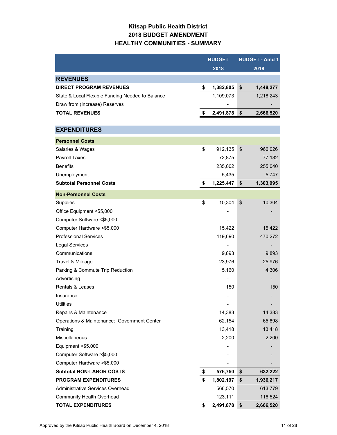# **Kitsap Public Health District 2018 BUDGET AMENDMENT HEALTHY COMMUNITIES - SUMMARY**

|                                                  | <b>BUDGET</b>   | <b>BUDGET - Amd 1</b> |
|--------------------------------------------------|-----------------|-----------------------|
|                                                  | 2018            | 2018                  |
| <b>REVENUES</b>                                  |                 |                       |
| <b>DIRECT PROGRAM REVENUES</b>                   | \$<br>1,382,805 | \$<br>1,448,277       |
| State & Local Flexible Funding Needed to Balance | 1,109,073       | 1,218,243             |
| Draw from (Increase) Reserves                    |                 |                       |
| <b>TOTAL REVENUES</b>                            | \$<br>2,491,878 | \$<br>2,666,520       |
|                                                  |                 |                       |
| <b>EXPENDITURES</b>                              |                 |                       |
| <b>Personnel Costs</b>                           |                 |                       |
| Salaries & Wages                                 | \$<br>912,135   | \$<br>966,026         |
| Payroll Taxes                                    | 72,875          | 77,182                |
| <b>Benefits</b>                                  | 235,002         | 255,040               |
| Unemployment                                     | 5,435           | 5,747                 |
| <b>Subtotal Personnel Costs</b>                  | \$<br>1,225,447 | \$<br>1,303,995       |
| <b>Non-Personnel Costs</b>                       |                 |                       |
| Supplies                                         | \$<br>10,304    | \$<br>10,304          |
| Office Equipment <\$5,000                        |                 |                       |
| Computer Software <\$5,000                       |                 |                       |
| Computer Hardware <\$5,000                       | 15,422          | 15,422                |
| <b>Professional Services</b>                     | 419,690         | 470,272               |
| <b>Legal Services</b>                            |                 |                       |
| Communications                                   | 9,893           | 9,893                 |
| Travel & Mileage                                 | 23,976          | 25,976                |
| Parking & Commute Trip Reduction                 | 5,160           | 4,306                 |
| Advertising                                      |                 |                       |
| <b>Rentals &amp; Leases</b>                      | 150             | 150                   |
| Insurance                                        |                 |                       |
| Utilities                                        | -               |                       |
| Repairs & Maintenance                            | 14,383          | 14,383                |
| Operations & Maintenance: Government Center      | 62,154          | 65,898                |
| Training                                         | 13,418          | 13,418                |
| Miscellaneous                                    | 2,200           | 2,200                 |
| Equipment >\$5,000                               |                 |                       |
| Computer Software > \$5,000                      |                 |                       |
| Computer Hardware > \$5,000                      |                 |                       |
| <b>Subtotal NON-LABOR COSTS</b>                  | \$<br>576,750   | \$<br>632,222         |
| <b>PROGRAM EXPENDITURES</b>                      | \$<br>1,802,197 | \$<br>1,936,217       |
| <b>Administrative Services Overhead</b>          | 566,570         | 613,779               |
| <b>Community Health Overhead</b>                 | 123,111         | 116,524               |
| <b>TOTAL EXPENDITURES</b>                        | \$<br>2,491,878 | \$<br>2,666,520       |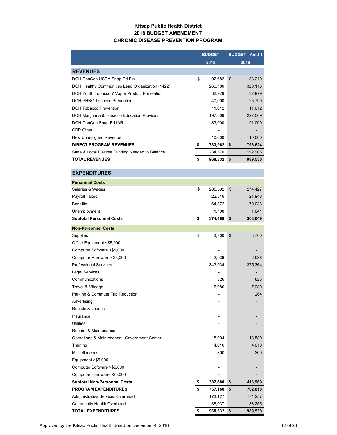### **Kitsap Public Health District 2018 BUDGET AMENDMENT CHRONIC DISEASE PREVENTION PROGRAM**

|                                                  | <b>BUDGET</b> |    | <b>BUDGET - Amd 1</b> |
|--------------------------------------------------|---------------|----|-----------------------|
|                                                  | 2018          |    | 2018                  |
| <b>REVENUES</b>                                  |               |    |                       |
| DOH ConCon USDA Snap-Ed Fini                     | \$<br>92,682  | \$ | 83,210                |
| DOH Healthy Communities Lead Organization (1422) | 266,780       |    | 320,115               |
| DOH Youth Tobacco 7 Vapor Product Prevention     | 32,979        |    | 32,979                |
| DOH PHBG Tobacco Prevention                      | 40,000        |    | 25,799                |
| DOH Tobacco Prevention                           | 11,012        |    | 11,012                |
| DOH Marijuana & Tobacco Education Provision      | 197,509       |    | 222,509               |
| DOH ConCon Snap-Ed IAR                           | 83,000        |    | 91,000                |
| CDP Other                                        |               |    |                       |
| New Unassigned Revenue                           | 10,000        |    | 10,000                |
| <b>DIRECT PROGRAM REVENUES</b>                   | \$<br>733,962 | \$ | 796,624               |
| State & Local Flexible Funding Needed to Balance | 234,370       |    | 192,906               |
| <b>TOTAL REVENUES</b>                            | \$<br>968,332 | \$ | 989,530               |

| <b>EXPENDITURES</b>                         |               |               |
|---------------------------------------------|---------------|---------------|
| <b>Personnel Costs</b>                      |               |               |
| Salaries & Wages                            | \$<br>285,592 | \$<br>274,427 |
| Payroll Taxes                               | 22,816        | 21,948        |
| <b>Benefits</b>                             | 64,372        | 70,033        |
| Unemployment                                | 1,708         | 1,641         |
| <b>Subtotal Personnel Costs</b>             | \$<br>374,488 | \$<br>368,049 |
| <b>Non-Personnel Costs</b>                  |               |               |
| Supplies                                    | \$<br>3,700   | \$<br>3,700   |
| Office Equipment <\$5,000                   |               |               |
| Computer Software <\$5,000                  |               |               |
| Computer Hardware <\$5,000                  | 2,936         | 2,936         |
| <b>Professional Services</b>                | 343,934       | 375,364       |
| <b>Legal Services</b>                       |               |               |
| Communications                              | 826           | 826           |
| Travel & Mileage                            | 7,980         | 7,980         |
| Parking & Commute Trip Reduction            |               | 264           |
| Advertising                                 |               |               |
| <b>Rentals &amp; Leases</b>                 |               |               |
| Insurance                                   |               |               |
| <b>Utilities</b>                            |               |               |
| Repairs & Maintenance                       |               |               |
| Operations & Maintenance: Government Center | 18,994        | 18,589        |
| Training                                    | 4,010         | 4,010         |
| Miscellaneous                               | 300           | 300           |
| Equipment $> $5,000$                        |               |               |
| Computer Software >\$5,000                  |               |               |
| Computer Hardware > \$5,000                 |               |               |
| <b>Subtotal Non-Personnel Costs</b>         | \$<br>382,680 | \$<br>413,969 |
| <b>PROGRAM EXPENDITURES</b>                 | \$<br>757,168 | \$<br>782,018 |
| Administrative Services Overhead            | 173,127       | 174,257       |
| <b>Community Health Overhead</b>            | 38,037        | 33,255        |
| <b>TOTAL EXPENDITURES</b>                   | \$<br>968,332 | \$<br>989,530 |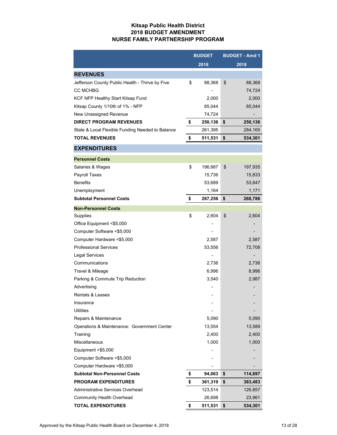### **Kitsap Public Health District 2018 BUDGET AMENDMENT NURSE FAMILY PARTNERSHIP PROGRAM**

|                                                  | <b>BUDGET</b> | <b>BUDGET - Amd 1</b> |         |  |
|--------------------------------------------------|---------------|-----------------------|---------|--|
|                                                  | 2018          | 2018                  |         |  |
| <b>REVENUES</b>                                  |               |                       |         |  |
| Jefferson County Public Health - Thrive by Five  | \$<br>88,368  | \$                    | 88,368  |  |
| <b>CC MCHBG</b>                                  |               |                       | 74,724  |  |
| KCF NFP Healthy Start Kitsap Fund                | 2,000         |                       | 2,000   |  |
| Kitsap County 1/10th of 1% - NFP                 | 85,044        |                       | 85,044  |  |
| New Unassigned Revenue                           | 74,724        |                       |         |  |
| <b>DIRECT PROGRAM REVENUES</b>                   | \$<br>250,136 | \$                    | 250,136 |  |
| State & Local Flexible Funding Needed to Balance | 261,395       |                       | 284,165 |  |
| <b>TOTAL REVENUES</b>                            | \$<br>511,531 | \$                    | 534,301 |  |
| <b>EXPENDITURES</b>                              |               |                       |         |  |
| <b>Personnel Costs</b>                           |               |                       |         |  |
| Salaries & Wages                                 | \$<br>196,667 | \$                    | 197,935 |  |
| <b>Payroll Taxes</b>                             | 15,736        |                       | 15,833  |  |
| <b>Benefits</b>                                  | 53,689        |                       | 53,847  |  |
| Unemployment                                     | 1,164         |                       | 1,171   |  |
| <b>Subtotal Personnel Costs</b>                  | \$<br>267,256 | \$                    | 268,786 |  |
| <b>Non-Personnel Costs</b>                       |               |                       |         |  |
| <b>Supplies</b>                                  | \$<br>2,604   | \$                    | 2,604   |  |
| Office Equipment <\$5,000                        |               |                       |         |  |
| Computer Software <\$5,000                       |               |                       |         |  |
| Computer Hardware <\$5,000                       | 2,587         |                       | 2,587   |  |
| <b>Professional Services</b>                     | 53,556        |                       | 72,708  |  |
| <b>Legal Services</b>                            |               |                       |         |  |
| Communications                                   | 2,736         |                       | 2,736   |  |
| Travel & Mileage                                 | 6,996         |                       | 8,996   |  |
| Parking & Commute Trip Reduction                 | 3,540         |                       | 2,987   |  |
| Advertising                                      |               |                       |         |  |
| <b>Rentals &amp; Leases</b>                      |               |                       |         |  |
| Insurance                                        |               |                       |         |  |
| <b>Utilities</b>                                 |               |                       |         |  |
| Repairs & Maintenance                            | 5,090         |                       | 5,090   |  |
| Operations & Maintenance: Government Center      | 13,554        |                       | 13,589  |  |
| Training                                         | 2,400         |                       | 2,400   |  |
| Miscellaneous                                    | 1,000         |                       | 1,000   |  |
| Equipment > \$5,000                              |               |                       |         |  |
| Computer Software > \$5,000                      |               |                       |         |  |
| Computer Hardware > \$5,000                      |               |                       |         |  |
| <b>Subtotal Non-Personnel Costs</b>              | \$<br>94,063  | \$                    | 114,697 |  |
| <b>PROGRAM EXPENDITURES</b>                      | \$<br>361,319 | \$                    | 383,483 |  |
| Administrative Services Overhead                 | 123,514       |                       | 126,857 |  |
| <b>Community Health Overhead</b>                 | 26,698        |                       | 23,961  |  |
| TOTAL EXPENDITURES                               | \$<br>511,531 | \$                    | 534,301 |  |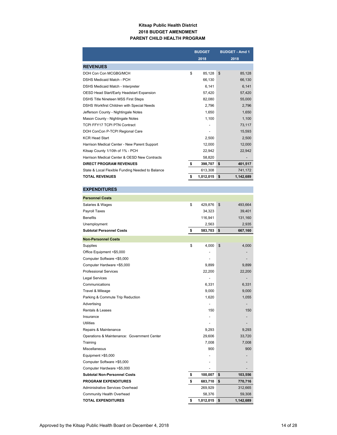### **Kitsap Public Health District 2018 BUDGET AMENDMENT PARENT CHILD HEALTH PROGRAM**

|                                                  | <b>BUDGET</b>   | <b>BUDGET - Amd 1</b>    |
|--------------------------------------------------|-----------------|--------------------------|
|                                                  | 2018            | 2018                     |
| <b>REVENUES</b>                                  |                 |                          |
| DOH Con Con MCGBG/MCH                            | \$<br>85.128    | $\mathfrak{s}$<br>85,128 |
| DSHS Medicaid Match - PCH                        | 66,130          | 66,130                   |
| <b>DSHS Medicaid Match - Interpreter</b>         | 6.141           | 6,141                    |
| OESD Head Start/Early Headstart Expansion        | 57,420          | 57,420                   |
| <b>DSHS Title Nineteen MSS First Steps</b>       | 82,080          | 55,000                   |
| DSHS Workfirst Children with Special Needs       | 2,796           | 2,796                    |
| Jefferson County - Nightingale Notes             | 1.650           | 1.650                    |
| Mason County - Nightingale Notes                 | 1,100           | 1,100                    |
| <b>TCPI FFY17 TCPI PTN Contract</b>              | -               | 73,117                   |
| DOH ConCon P-TCPI Regional Care                  | -               | 15,593                   |
| <b>KCR Head Start</b>                            | 2,500           | 2,500                    |
| Harrison Medical Center - New Parent Support     | 12,000          | 12,000                   |
| Kitsap County 1/10th of 1% - PCH                 | 22.942          | 22,942                   |
| Harrison Medical Center & OESD New Contracts     | 58.820          | $\overline{\phantom{a}}$ |
| <b>DIRECT PROGRAM REVENUES</b>                   | \$<br>398,707   | 401,517<br>\$            |
| State & Local Flexible Funding Needed to Balance | 613.308         | 741,172                  |
| <b>TOTAL REVENUES</b>                            | \$<br>1,012,015 | \$<br>1,142,689          |

| <b>EXPENDITURES</b>                         |                 |                 |
|---------------------------------------------|-----------------|-----------------|
| <b>Personnel Costs</b>                      |                 |                 |
| Salaries & Wages                            | \$<br>429,876   | \$<br>493,664   |
| Payroll Taxes                               | 34,323          | 39,401          |
| <b>Benefits</b>                             | 116,941         | 131,160         |
| Unemployment                                | 2,563           | 2,935           |
| <b>Subtotal Personnel Costs</b>             | \$<br>583,703   | \$<br>667,160   |
| <b>Non-Personnel Costs</b>                  |                 |                 |
| Supplies                                    | \$<br>4,000     | \$<br>4,000     |
| Office Equipment <\$5,000                   |                 |                 |
| Computer Software <\$5,000                  |                 |                 |
| Computer Hardware <\$5,000                  | 9,899           | 9,899           |
| <b>Professional Services</b>                | 22,200          | 22,200          |
| <b>Legal Services</b>                       |                 |                 |
| Communications                              | 6,331           | 6,331           |
| Travel & Mileage                            | 9,000           | 9,000           |
| Parking & Commute Trip Reduction            | 1,620           | 1,055           |
| Advertising                                 |                 |                 |
| <b>Rentals &amp; Leases</b>                 | 150             | 150             |
| Insurance                                   |                 |                 |
| <b>Utilities</b>                            |                 |                 |
| Repairs & Maintenance                       | 9,293           | 9,293           |
| Operations & Maintenance: Government Center | 29,606          | 33,720          |
| Training                                    | 7,008           | 7,008           |
| Miscellaneous                               | 900             | 900             |
| Equipment > \$5,000                         |                 |                 |
| Computer Software >\$5,000                  |                 |                 |
| Computer Hardware > \$5,000                 |                 |                 |
| <b>Subtotal Non-Personnel Costs</b>         | \$<br>100,007   | \$<br>103,556   |
| <b>PROGRAM EXPENDITURES</b>                 | \$<br>683,710   | \$<br>770,716   |
| Administrative Services Overhead            | 269,929         | 312,665         |
| <b>Community Health Overhead</b>            | 58,376          | 59,308          |
| <b>TOTAL EXPENDITURES</b>                   | \$<br>1,012,015 | \$<br>1,142,689 |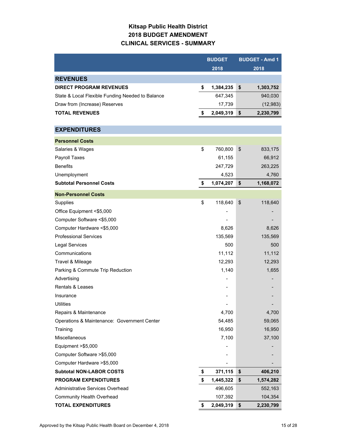# **Kitsap Public Health District 2018 BUDGET AMENDMENT CLINICAL SERVICES - SUMMARY**

|                                                  | <b>BUDGET</b> |           |    | <b>BUDGET - Amd 1</b> |  |
|--------------------------------------------------|---------------|-----------|----|-----------------------|--|
|                                                  |               | 2018      |    | 2018                  |  |
| <b>REVENUES</b>                                  |               |           |    |                       |  |
| <b>DIRECT PROGRAM REVENUES</b>                   | \$            | 1,384,235 | \$ | 1,303,752             |  |
| State & Local Flexible Funding Needed to Balance |               | 647,345   |    | 940,030               |  |
| Draw from (Increase) Reserves                    |               | 17,739    |    | (12, 983)             |  |
| <b>TOTAL REVENUES</b>                            | \$            | 2,049,319 | \$ | 2,230,799             |  |
|                                                  |               |           |    |                       |  |
| <b>EXPENDITURES</b>                              |               |           |    |                       |  |
| <b>Personnel Costs</b>                           |               |           |    |                       |  |
| Salaries & Wages                                 | \$            | 760,800   | \$ | 833,175               |  |
| Payroll Taxes                                    |               | 61,155    |    | 66,912                |  |
| <b>Benefits</b>                                  |               | 247,729   |    | 263,225               |  |
| Unemployment                                     |               | 4,523     |    | 4,760                 |  |
| <b>Subtotal Personnel Costs</b>                  | \$            | 1,074,207 | \$ | 1,168,072             |  |
| <b>Non-Personnel Costs</b>                       |               |           |    |                       |  |
| Supplies                                         | \$            | 118,640   | \$ | 118,640               |  |
| Office Equipment <\$5,000                        |               |           |    |                       |  |
| Computer Software <\$5,000                       |               |           |    |                       |  |
| Computer Hardware <\$5,000                       |               | 8,626     |    | 8,626                 |  |
| <b>Professional Services</b>                     |               | 135,569   |    | 135,569               |  |
| <b>Legal Services</b>                            |               | 500       |    | 500                   |  |
| Communications                                   |               | 11,112    |    | 11,112                |  |
| Travel & Mileage                                 |               | 12,293    |    | 12,293                |  |
| Parking & Commute Trip Reduction                 |               | 1,140     |    | 1,655                 |  |
| Advertising                                      |               |           |    |                       |  |
| <b>Rentals &amp; Leases</b>                      |               |           |    |                       |  |
| Insurance                                        |               |           |    |                       |  |
| <b>Utilities</b>                                 |               |           |    |                       |  |
| Repairs & Maintenance                            |               | 4,700     |    | 4,700                 |  |
| Operations & Maintenance: Government Center      |               | 54,485    |    | 59,065                |  |
| Training                                         |               | 16,950    |    | 16,950                |  |
| Miscellaneous                                    |               | 7,100     |    | 37,100                |  |
| Equipment >\$5,000                               |               |           |    |                       |  |
| Computer Software > \$5,000                      |               |           |    |                       |  |
| Computer Hardware > \$5,000                      |               |           |    |                       |  |
| <b>Subtotal NON-LABOR COSTS</b>                  | \$            | 371,115   | \$ | 406,210               |  |
| <b>PROGRAM EXPENDITURES</b>                      | \$            | 1,445,322 | \$ | 1,574,282             |  |
| Administrative Services Overhead                 |               | 496,605   |    | 552,163               |  |
| <b>Community Health Overhead</b>                 |               | 107,392   |    | 104,354               |  |
| <b>TOTAL EXPENDITURES</b>                        | \$            | 2,049,319 | \$ | 2,230,799             |  |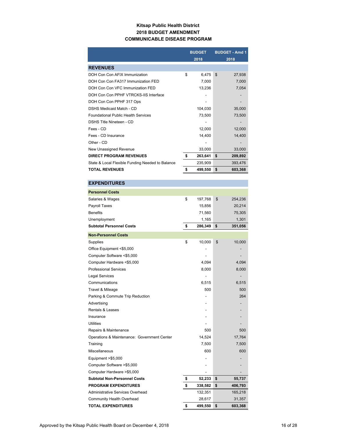### **Kitsap Public Health District 2018 BUDGET AMENDMENT COMMUNICABLE DISEASE PROGRAM**

|                                                  | <b>BUDGET</b> |         |                | <b>BUDGET - Amd 1</b> |
|--------------------------------------------------|---------------|---------|----------------|-----------------------|
|                                                  |               | 2018    |                | 2018                  |
| <b>REVENUES</b>                                  |               |         |                |                       |
| DOH Con Con AFIX Immunization                    | \$            | 6,475   | $\mathfrak{S}$ | 27,938                |
| DOH Con Con FA317 Immunization FED               |               | 7,000   |                | 7,000                 |
| DOH Con Con VFC Immunization FED                 |               | 13,236  |                | 7,054                 |
| DOH Con Con PPHF VTRCKS-IIS Interface            |               |         |                |                       |
| DOH Con Con PPHF 317 Ops                         |               |         |                |                       |
| DSHS Medicaid Match - CD                         |               | 104,030 |                | 35,000                |
| <b>Foundational Public Health Services</b>       |               | 73,500  |                | 73,500                |
| DSHS Title Nineteen - CD                         |               |         |                |                       |
| Fees - CD                                        |               | 12,000  |                | 12,000                |
| Fees - CD Insurance                              |               | 14,400  |                | 14,400                |
| Other - CD                                       |               |         |                |                       |
| New Unassigned Revenue                           |               | 33,000  |                | 33,000                |
| <b>DIRECT PROGRAM REVENUES</b>                   | \$            | 263,641 | \$             | 209,892               |
| State & Local Flexible Funding Needed to Balance |               | 235,909 |                | 393,476               |
| <b>TOTAL REVENUES</b>                            | \$            | 499,550 | \$             | 603,368               |

### **EXPENDITURES**

| <b>Personnel Costs</b>                      |               |               |
|---------------------------------------------|---------------|---------------|
| Salaries & Wages                            | \$<br>197,768 | \$<br>254,236 |
| Payroll Taxes                               | 15,856        | 20,214        |
| <b>Benefits</b>                             | 71,560        | 75,305        |
| Unemployment                                | 1,165         | 1,301         |
| <b>Subtotal Personnel Costs</b>             | \$<br>286,349 | \$<br>351,056 |
| <b>Non-Personnel Costs</b>                  |               |               |
| Supplies                                    | \$<br>10,000  | \$<br>10,000  |
| Office Equipment <\$5,000                   |               |               |
| Computer Software <\$5,000                  |               |               |
| Computer Hardware <\$5,000                  | 4,094         | 4,094         |
| <b>Professional Services</b>                | 8,000         | 8,000         |
| <b>Legal Services</b>                       |               |               |
| Communications                              | 6,515         | 6,515         |
| Travel & Mileage                            | 500           | 500           |
| Parking & Commute Trip Reduction            |               | 264           |
| Advertising                                 |               |               |
| Rentals & Leases                            |               |               |
| Insurance                                   |               |               |
| Utilities                                   |               |               |
| Repairs & Maintenance                       | 500           | 500           |
| Operations & Maintenance: Government Center | 14,524        | 17,764        |
| Training                                    | 7,500         | 7,500         |
| Miscellaneous                               | 600           | 600           |
| Equipment > \$5,000                         |               |               |
| Computer Software >\$5,000                  |               |               |
| Computer Hardware >\$5,000                  |               |               |
| <b>Subtotal Non-Personnel Costs</b>         | \$<br>52,233  | \$<br>55,737  |
| <b>PROGRAM EXPENDITURES</b>                 | \$<br>338,582 | \$<br>406,793 |
| Administrative Services Overhead            | 132,351       | 165,218       |
| Community Health Overhead                   | 28,617        | 31,357        |
| <b>TOTAL EXPENDITURES</b>                   | \$<br>499,550 | \$<br>603,368 |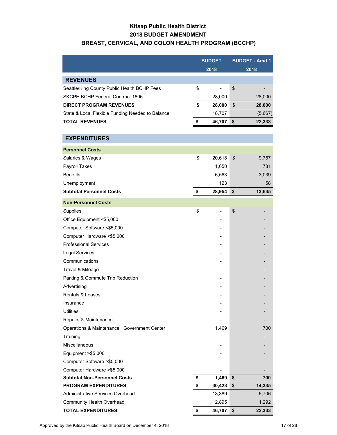# **Kitsap Public Health District 2018 BUDGET AMENDMENT BREAST, CERVICAL, AND COLON HEALTH PROGRAM (BCCHP)**

# **BUDGET BUDGET - Amd 1 2018 2018** Seattle/King County Public Health BCHP Fees  $\frac{1}{2}$  \$ - \$ SKCPH BCHP Federal Contract 1606 28,000 28,000 **DIRECT PROGRAM REVENUES 28,000 \$ 28,000 \$**  State & Local Flexible Funding Needed to Balance 18,707 (5,667) **TOTAL REVENUES 46,707 \$ 22,333 \$ Personnel Costs** Salaries & Wages 20,618 \$ 20,618 \$ 9,757 Payroll Taxes 281 281 282 281 282 283 284 285 287 287 288 289 281 288 289 281 281 282 284 288 289 281 288 288 2  $B$ enefits  $3,039$ Unemployment 58 and 58 and 58 and 58 and 58 and 58 and 58 and 58 and 58 and 58 and 58 and 58 and 58 and 58 and 58 and 58 and 58 and 58 and 58 and 58 and 58 and 58 and 58 and 58 and 59 and 59 and 59 and 59 and 59 and 59 and **Subtotal Personnel Costs 28,954 \$ 13,635 \$ Non-Personnel Costs** Supplies - \$ - \$ Office Equipment <\$5,000 Computer Software <\$5,000 Computer Hardware <\$5,000 Professional Services Legal Services Communications Travel & Mileage Parking & Commute Trip Reduction Advertising Rentals & Leases Insurance in the set of the set of the set of the set of the set of the set of the set of the set of the set o Utilities - - Repairs & Maintenance Operations & Maintenance: Government Center 1,469 1,469 700 Training - - Miscellaneous Equipment  $> $5,000$ Computer Software >\$5,000 - - Computer Hardware > \$5,000 **Subtotal Non-Personnel Costs 1,469 \$ 1,469 \$** 700 **PROGRAM EXPENDITURES 30,423 \$ 14,335 \$**  Administrative Services Overhead 13,389 6,706 Community Health Overhead 2,895 2,895 1,292 **EXPENDITURES REVENUES**

**TOTAL EXPENDITURES \$ 46,707 \$ 22,333**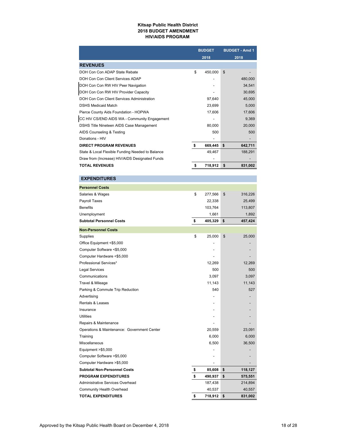#### **Kitsap Public Health District 2018 BUDGET AMENDMENT HIV/AIDS PROGRAM**

|                                                  |    | <b>BUDGET</b> | <b>BUDGET - Amd 1</b> |
|--------------------------------------------------|----|---------------|-----------------------|
|                                                  |    | 2018          | 2018                  |
| <b>REVENUES</b>                                  |    |               |                       |
| DOH Con Con ADAP State Rebate                    | \$ | 450,000       | \$                    |
| DOH Con Con Client Services ADAP                 |    |               | 480,000               |
| DOH Con Con RW HIV Peer Navigation               |    |               | 34,541                |
| DOH Con Con RW HIV Provider Capacity             |    |               | 30,695                |
| DOH Con Con Client Services Administration       |    | 97,640        | 45,000                |
| <b>DSHS Medicaid Match</b>                       |    | 23,699        | 5,000                 |
| Pierce County Aids Foundation - HOPWA            |    | 17,606        | 17,606                |
| CC HIV CS/END AIDS WA - Community Engagement     |    |               | 9,369                 |
| DSHS Title Nineteen AIDS Case Management         |    | 80,000        | 20,000                |
| AIDS Counseling & Testing                        |    | 500           | 500                   |
| Donations - HIV                                  |    |               |                       |
| <b>DIRECT PROGRAM REVENUES</b>                   | \$ | 669,445       | \$<br>642,711         |
| State & Local Flexible Funding Needed to Balance |    | 49,467        | 188,291               |
| Draw from (Increase) HIV/AIDS Designated Funds   |    |               |                       |
| <b>TOTAL REVENUES</b>                            | s  | 718,912       | \$<br>831,002         |

### **Personnel Costs** Salaries & Wages 277,566 \$ 316,226 Payroll Taxes 25,499 Benefits 103,764 113,807 Unemployment 1,661 1,892 **Subtotal Personnel Costs and <b>\$** 405,329 **\$** 457,424 **Non-Personnel Costs** Supplies 25,000 \$ 25,000 \$ Office Equipment <\$5,000 - - Computer Software <\$5,000 - - Computer Hardware <\$5,000 Professional Services\* 12,269 12,269 12,269 Legal Services 500 Communications 3,097 3,097 **Travel & Mileage 11,143** 11,143 11,143 Parking & Commute Trip Reduction 627 Advertising **Advertising Advertising** Rentals & Leases Insurance - - Utilities - - Repairs & Maintenance Operations & Maintenance: Government Center 20,559 23,091 Training 6,000 6,000 Miscellaneous 36,500 36,500 Equipment >\$5,000 - - Computer Software >\$5,000 - - Computer Hardware > \$5,000 **Subtotal Non-Personnel Costs \$ 85,608 \$ 118,127 PROGRAM EXPENDITURES \$ 490,937 \$ 575,551** Administrative Services Overhead 187,438 214,894 Community Health Overhead 40,537 40,557 **TOTAL EXPENDITURES \$ 718,912 \$ 831,002 EXPENDITURES**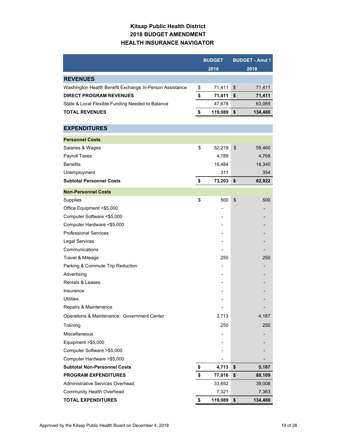# **Kitsap Public Health District 2018 BUDGET AMENDMENT HEALTH INSURANCE NAVIGATOR**

|                                                         | <b>BUDGET</b> | <b>BUDGET - Amd 1</b> |
|---------------------------------------------------------|---------------|-----------------------|
|                                                         | 2018          | 2018                  |
| <b>REVENUES</b>                                         |               |                       |
| Washington Health Benefit Exchange In-Person Assistance | \$<br>71,411  | \$<br>71,411          |
| <b>DIRECT PROGRAM REVENUES</b>                          | \$<br>71,411  | \$<br>71,411          |
| State & Local Flexible Funding Needed to Balance        | 47,678        | 63,069                |
| <b>TOTAL REVENUES</b>                                   | \$<br>119,089 | \$<br>134,480         |
|                                                         |               |                       |
| <b>EXPENDITURES</b>                                     |               |                       |
| <b>Personnel Costs</b>                                  |               |                       |
| Salaries & Wages                                        | \$<br>52,219  | \$<br>59,460          |
| Payroll Taxes                                           | 4,189         | 4,768                 |
| <b>Benefits</b>                                         | 16,484        | 18,340                |
| Unemployment                                            | 311           | 354                   |
| <b>Subtotal Personnel Costs</b>                         | \$<br>73,203  | \$<br>82,922          |
| <b>Non-Personnel Costs</b>                              |               |                       |
| Supplies                                                | \$<br>500     | \$<br>500             |
| Office Equipment <\$5,000                               |               |                       |
| Computer Software <\$5,000                              |               |                       |
| Computer Hardware <\$5,000                              |               |                       |
| <b>Professional Services</b>                            |               |                       |
| <b>Legal Services</b>                                   |               |                       |
| Communications                                          |               |                       |
| Travel & Mileage                                        | 250           | 250                   |
| Parking & Commute Trip Reduction                        |               |                       |
| Advertising                                             |               |                       |
| <b>Rentals &amp; Leases</b>                             |               |                       |
| Insurance                                               |               |                       |
| Utilities                                               |               |                       |
| Repairs & Maintenance                                   |               |                       |
| Operations & Maintenance: Government Center             | 3,713         | 4,187                 |
| Training                                                | 250           | 250                   |
| Miscellaneous                                           |               |                       |
| Equipment >\$5,000                                      |               |                       |
| Computer Software > \$5,000                             |               |                       |
| Computer Hardware > \$5,000                             |               |                       |
| <b>Subtotal Non-Personnel Costs</b>                     | \$<br>4,713   | \$<br>5,187           |
| <b>PROGRAM EXPENDITURES</b>                             | \$<br>77,916  | \$<br>88,109          |
| Administrative Services Overhead                        | 33,852        | 39,008                |
| <b>Community Health Overhead</b>                        | 7,321         | 7,363                 |
| <b>TOTAL EXPENDITURES</b>                               | \$<br>119,089 | \$<br>134,480         |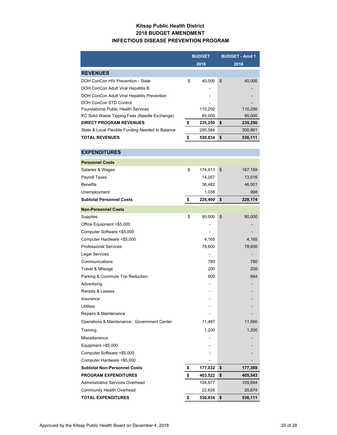### **Kitsap Public Health District 2018 BUDGET AMENDMENT INFECTIOUS DISEASE PREVENTION PROGRAM**

|                                                  | <b>BUDGET</b><br>2018 |         | <b>BUDGET - Amd 1</b><br>2018 |
|--------------------------------------------------|-----------------------|---------|-------------------------------|
| <b>REVENUES</b>                                  |                       |         |                               |
| DOH ConCon HIV Prevention - State                | \$                    | 40.000  | \$<br>40.000                  |
| DOH ConCon Adult Viral Hepatitis B               |                       |         |                               |
| DOH ConCon Adult Viral Hepatitis Prevention      |                       |         |                               |
| DOH ConCon STD Control                           |                       |         |                               |
| <b>Foundational Public Health Services</b>       |                       | 110,250 | 110,250                       |
| KC Solid Waste Tipping Fees (Needle Exchange)    |                       | 85,000  | 85,000                        |
| <b>DIRECT PROGRAM REVENUES</b>                   | \$                    | 235,250 | \$<br>235,250                 |
| State & Local Flexible Funding Needed to Balance |                       | 295,584 | 300,861                       |
| <b>TOTAL REVENUES</b>                            |                       | 530,834 | \$<br>536,111                 |

| <b>EXPENDITURES</b>                         |               |               |
|---------------------------------------------|---------------|---------------|
| <b>Personnel Costs</b>                      |               |               |
| Salaries & Wages                            | \$<br>174,913 | \$<br>167,159 |
| Payroll Taxes                               | 14,057        | 13,516        |
| <b>Benefits</b>                             | 36,482        | 46,501        |
| Unemployment                                | 1,038         | 998           |
| <b>Subtotal Personnel Costs</b>             | \$<br>226,490 | \$<br>228,174 |
| <b>Non-Personnel Costs</b>                  |               |               |
| Supplies                                    | \$<br>80,000  | \$<br>80,000  |
| Office Equipment <\$5,000                   |               |               |
| Computer Software <\$5,000                  |               |               |
| Computer Hardware <\$5,000                  | 4,165         | 4,165         |
| <b>Professional Services</b>                | 78,600        | 78,600        |
| <b>Legal Services</b>                       |               |               |
| Communications                              | 780           | 780           |
| Travel & Mileage                            | 200           | 200           |
| Parking & Commute Trip Reduction            | 600           | 864           |
| Advertising                                 |               |               |
| <b>Rentals &amp; Leases</b>                 |               |               |
| Insurance                                   |               |               |
| <b>Utilities</b>                            |               |               |
| Repairs & Maintenance                       |               |               |
| Operations & Maintenance: Government Center | 11,487        | 11,560        |
| Training                                    | 1,200         | 1,200         |
| <b>Miscellaneous</b>                        |               |               |
| Equipment >\$5,000                          |               |               |
| Computer Software >\$5,000                  |               |               |
| Computer Hardware >\$5,000                  |               |               |
| <b>Subtotal Non-Personnel Costs</b>         | \$<br>177,032 | \$<br>177,369 |
| <b>PROGRAM EXPENDITURES</b>                 | \$<br>403,522 | \$<br>405,543 |
| Administrative Services Overhead            | 104,677       | 109,894       |
| <b>Community Health Overhead</b>            | 22,635        | 20,674        |
| <b>TOTAL EXPENDITURES</b>                   | \$<br>530,834 | \$<br>536,111 |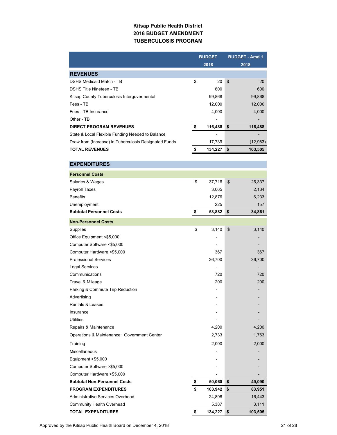### **Kitsap Public Health District 2018 BUDGET AMENDMENT TUBERCULOSIS PROGRAM**

|                                                       | <b>BUDGET</b>      | <b>BUDGET - Amd 1</b> |  |  |
|-------------------------------------------------------|--------------------|-----------------------|--|--|
|                                                       | 2018               | 2018                  |  |  |
| <b>REVENUES</b>                                       |                    |                       |  |  |
| <b>DSHS Medicaid Match - TB</b>                       | \$<br>20           | \$<br>20              |  |  |
| <b>DSHS Title Nineteen - TB</b>                       | 600                | 600                   |  |  |
| Kitsap County Tuberculosis Intergovermental           | 99,868             | 99,868                |  |  |
| Fees - TB                                             | 12,000             | 12,000                |  |  |
| Fees - TB Insurance                                   | 4,000              | 4,000                 |  |  |
| Other - TB                                            |                    |                       |  |  |
| <b>DIRECT PROGRAM REVENUES</b>                        | \$<br>116,488      | \$<br>116,488         |  |  |
| State & Local Flexible Funding Needed to Balance      |                    |                       |  |  |
| Draw from (Increase) in Tuberculosis Designated Funds | 17,739             | (12, 983)             |  |  |
| <b>TOTAL REVENUES</b>                                 | \$<br>134,227      | \$<br>103,505         |  |  |
|                                                       |                    |                       |  |  |
| <b>EXPENDITURES</b>                                   |                    |                       |  |  |
| <b>Personnel Costs</b>                                |                    |                       |  |  |
| Salaries & Wages                                      | \$<br>37,716       | \$<br>26,337          |  |  |
| Payroll Taxes                                         | 3,065              | 2,134                 |  |  |
| <b>Benefits</b>                                       | 12,876             | 6,233                 |  |  |
| Unemployment                                          | 225                | 157                   |  |  |
| <b>Subtotal Personnel Costs</b>                       | \$<br>53,882       | \$<br>34,861          |  |  |
|                                                       |                    |                       |  |  |
| <b>Non-Personnel Costs</b>                            |                    |                       |  |  |
| Supplies                                              | \$<br>3,140        | \$<br>3,140           |  |  |
| Office Equipment <\$5,000                             |                    |                       |  |  |
| Computer Software <\$5,000                            |                    |                       |  |  |
| Computer Hardware <\$5,000                            | 367                | 367                   |  |  |
| <b>Professional Services</b>                          | 36,700             | 36,700                |  |  |
| <b>Legal Services</b>                                 |                    |                       |  |  |
| Communications                                        | 720                | 720                   |  |  |
| Travel & Mileage                                      | 200                | 200                   |  |  |
| Parking & Commute Trip Reduction                      |                    |                       |  |  |
| Advertising                                           |                    |                       |  |  |
| Rentals & Leases                                      |                    |                       |  |  |
| Insurance                                             |                    |                       |  |  |
| <b>Utilities</b>                                      |                    |                       |  |  |
| Repairs & Maintenance                                 | 4,200              | 4,200                 |  |  |
| Operations & Maintenance: Government Center           | 2,733              | 1,763                 |  |  |
| Training                                              | 2,000              | 2,000                 |  |  |
| Miscellaneous                                         |                    |                       |  |  |
| Equipment >\$5,000                                    |                    |                       |  |  |
| Computer Software > \$5,000                           |                    |                       |  |  |
| Computer Hardware > \$5,000                           |                    |                       |  |  |
| <b>Subtotal Non-Personnel Costs</b>                   | \$<br>50,060       | \$<br>49,090          |  |  |
| <b>PROGRAM EXPENDITURES</b>                           | \$<br>103,942      | \$<br>83,951          |  |  |
| Administrative Services Overhead                      | 24,898             | 16,443                |  |  |
| <b>Community Health Overhead</b>                      | 5,387              | 3,111                 |  |  |
| <b>TOTAL EXPENDITURES</b>                             | \$<br>$134,227$ \$ | 103,505               |  |  |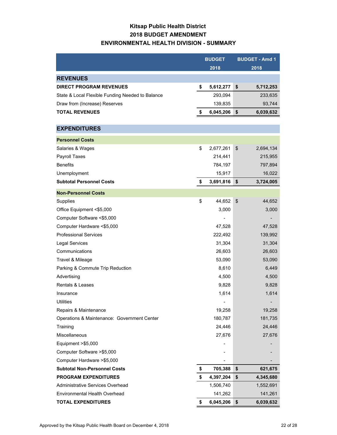### **Kitsap Public Health District 2018 BUDGET AMENDMENT ENVIRONMENTAL HEALTH DIVISION - SUMMARY**

|                                                  | <b>BUDGET</b>   | <b>BUDGET - Amd 1</b> |
|--------------------------------------------------|-----------------|-----------------------|
|                                                  | 2018            | 2018                  |
| <b>REVENUES</b>                                  |                 |                       |
| <b>DIRECT PROGRAM REVENUES</b>                   | \$<br>5,612,277 | \$<br>5,712,253       |
| State & Local Flexible Funding Needed to Balance | 293,094         | 233,635               |
| Draw from (Increase) Reserves                    | 139,835         | 93,744                |
| <b>TOTAL REVENUES</b>                            | \$<br>6,045,206 | \$<br>6,039,632       |
|                                                  |                 |                       |
| <b>EXPENDITURES</b>                              |                 |                       |
| <b>Personnel Costs</b>                           |                 |                       |
| Salaries & Wages                                 | \$<br>2,677,261 | \$<br>2,694,134       |
| Payroll Taxes                                    | 214,441         | 215,955               |
| <b>Benefits</b>                                  | 784,197         | 797,894               |
| Unemployment                                     | 15,917          | 16,022                |
| <b>Subtotal Personnel Costs</b>                  | \$<br>3,691,816 | \$<br>3,724,005       |
| <b>Non-Personnel Costs</b>                       |                 |                       |
| Supplies                                         | \$<br>44,652    | \$<br>44,652          |
| Office Equipment <\$5,000                        | 3,000           | 3,000                 |
| Computer Software <\$5,000                       |                 |                       |
| Computer Hardware <\$5,000                       | 47,528          | 47,528                |
| <b>Professional Services</b>                     | 222,492         | 139,992               |
| <b>Legal Services</b>                            | 31,304          | 31,304                |
| Communications                                   | 26,603          | 26,603                |
| Travel & Mileage                                 | 53,090          | 53,090                |
| Parking & Commute Trip Reduction                 | 8,610           | 6,449                 |
| Advertising                                      | 4,500           | 4,500                 |
| <b>Rentals &amp; Leases</b>                      | 9,828           | 9,828                 |
| Insurance                                        | 1,614           | 1,614                 |
| <b>Utilities</b>                                 |                 |                       |
| Repairs & Maintenance                            | 19,258          | 19,258                |
| Operations & Maintenance: Government Center      | 180,787         | 181,735               |
| Training                                         | 24,446          | 24,446                |
| Miscellaneous                                    | 27,676          | 27,676                |
| Equipment >\$5,000                               |                 |                       |
| Computer Software > \$5,000                      |                 |                       |
| Computer Hardware > \$5,000                      |                 |                       |
| <b>Subtotal Non-Personnel Costs</b>              | \$<br>705,388   | \$<br>621,675         |
| <b>PROGRAM EXPENDITURES</b>                      | \$<br>4,397,204 | \$<br>4,345,680       |
| Administrative Services Overhead                 | 1,506,740       | 1,552,691             |
| <b>Environmental Health Overhead</b>             | 141,262         | 141,261               |
| <b>TOTAL EXPENDITURES</b>                        | \$<br>6,045,206 | \$<br>6,039,632       |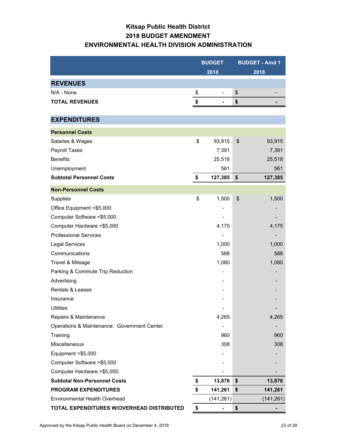# **Kitsap Public Health District 2018 BUDGET AMENDMENT ENVIRONMENTAL HEALTH DIVISION ADMINISTRATION**

|                                             | <b>BUDGET</b> | <b>BUDGET - Amd 1</b> |
|---------------------------------------------|---------------|-----------------------|
|                                             | 2018          | 2018                  |
| <b>REVENUES</b>                             |               |                       |
| N/A - None                                  | \$            | \$                    |
| <b>TOTAL REVENUES</b>                       | \$            | \$                    |
|                                             |               |                       |
| <b>EXPENDITURES</b>                         |               |                       |
| <b>Personnel Costs</b>                      |               |                       |
| Salaries & Wages                            | \$<br>93,915  | 93,915<br>\$          |
| Payroll Taxes                               | 7,391         | 7,391                 |
| <b>Benefits</b>                             | 25,518        | 25,518                |
| Unemployment                                | 561           | 561                   |
| <b>Subtotal Personnel Costs</b>             | \$<br>127,385 | \$<br>127,385         |
| <b>Non-Personnel Costs</b>                  |               |                       |
| Supplies                                    | \$<br>1,500   | \$<br>1,500           |
| Office Equipment <\$5,000                   |               |                       |
| Computer Software <\$5,000                  |               |                       |
| Computer Hardware <\$5,000                  | 4,175         | 4,175                 |
| <b>Professional Services</b>                |               |                       |
| <b>Legal Services</b>                       | 1,000         | 1,000                 |
| Communications                              | 588           | 588                   |
| Travel & Mileage                            | 1,080         | 1,080                 |
| Parking & Commute Trip Reduction            |               |                       |
| Advertising                                 |               |                       |
| <b>Rentals &amp; Leases</b>                 |               |                       |
| Insurance                                   |               |                       |
| <b>Utilities</b>                            |               |                       |
| Repairs & Maintenance                       | 4,265         | 4,265                 |
| Operations & Maintenance: Government Center |               |                       |
| Training                                    | 960           | 960                   |
| Miscellaneous                               | 308           | 308                   |
| Equipment >\$5,000                          |               |                       |
| Computer Software > \$5,000                 |               |                       |
| Computer Hardware > \$5,000                 |               |                       |
| <b>Subtotal Non-Personnel Costs</b>         | \$<br>13,876  | \$<br>13,876          |
| <b>PROGRAM EXPENDITURES</b>                 | \$<br>141,261 | \$<br>141,261         |
| Environmental Health Overhead               | (141, 261)    | (141, 261)            |
| TOTAL EXPENDITURES W/OVERHEAD DISTRIBUTED   | \$            | \$                    |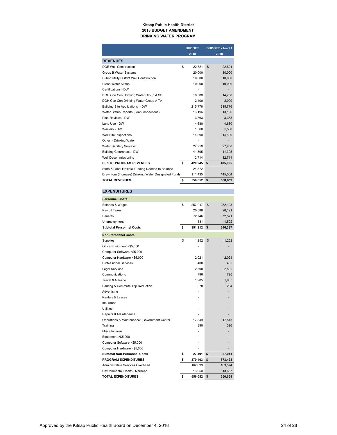#### **Kitsap Public Health District 2018 BUDGET AMENDMENT DRINKING WATER PROGRAM**

|                                                      |    | <b>BUDGET</b><br>2018 | <b>BUDGET - Amd 1</b><br>2018 |         |  |
|------------------------------------------------------|----|-----------------------|-------------------------------|---------|--|
| <b>REVENUES</b>                                      |    |                       |                               |         |  |
| <b>DOE Well Construction</b>                         | \$ | 22,821                | \$                            | 22,821  |  |
| Group B Water Systems                                |    | 20,000                |                               | 10,000  |  |
| Public Utility District Well Construction            |    | 10,000                |                               | 10,000  |  |
| Clean Water Kitsap                                   |    | 10,000                |                               | 10,000  |  |
| Certifications - DW                                  |    |                       |                               |         |  |
| DOH Con Con Drinking Water Group A SS                |    | 19,500                |                               | 14,750  |  |
| DOH Con Con Drinking Water Group A TA                |    | 2,400                 |                               | 2,000   |  |
| Building Site Applications - DW                      |    | 215,776               |                               | 215,776 |  |
| Water Status Reports (Loan Inspections)              |    | 13,196                |                               | 13,196  |  |
| Plan Reviews - DW                                    |    | 3,363                 |                               | 3,363   |  |
| Land Use - DW                                        |    | 4,680                 |                               | 4,680   |  |
| Waivers - DW                                         |    | 1,560                 |                               | 1,560   |  |
| Well Site Inspections                                |    | 14,890                |                               | 14,890  |  |
| Other - Drinking Water                               |    |                       |                               |         |  |
| <b>Water Sanitary Surveys</b>                        |    | 27,950                |                               | 27,950  |  |
| <b>Building Clearances - DW</b>                      |    | 41,395                |                               | 41,395  |  |
| Well Decommissioning                                 |    | 12,714                |                               | 12,714  |  |
| <b>DIRECT PROGRAM REVENUES</b>                       | s. | 420,245               | \$                            | 405,095 |  |
| State & Local Flexible Funding Needed to Balance     |    | 24.372                |                               |         |  |
| Draw from (Increase) Drinking Water Designated Funds |    | 111,435               |                               | 145,564 |  |
| <b>TOTAL REVENUES</b>                                | \$ | 556,052               | \$                            | 550,659 |  |

### **EXPENDITURES**

| <b>Personnel Costs</b>                      |               |               |
|---------------------------------------------|---------------|---------------|
| Salaries & Wages                            | \$<br>257,047 | \$<br>252,123 |
| Payroll Taxes                               | 20,588        | 20,191        |
| <b>Benefits</b>                             | 72,746        | 72,571        |
| Unemployment                                | 1,531         | 1,502         |
| <b>Subtotal Personnel Costs</b>             | \$<br>351,912 | \$<br>346,387 |
| <b>Non-Personnel Costs</b>                  |               |               |
| Supplies                                    | \$<br>1,252   | \$<br>1,252   |
| Office Equipment <\$5,000                   |               |               |
| Computer Software <\$5,000                  |               |               |
| Computer Hardware <\$5,000                  | 2,021         | 2,021         |
| <b>Professional Services</b>                | 400           | 400           |
| <b>Legal Services</b>                       | 2,500         | 2,500         |
| Communications                              | 796           | 796           |
| Travel & Mileage                            | 1,905         | 1,905         |
| Parking & Commute Trip Reduction            | 378           | 264           |
| Advertising                                 |               |               |
| Rentals & Leases                            |               |               |
| Insurance                                   |               |               |
| <b>Utilities</b>                            |               |               |
| Repairs & Maintenance                       |               |               |
| Operations & Maintenance: Government Center | 17,849        | 17,513        |
| Training                                    | 390           | 390           |
| Miscellaneous                               |               |               |
| Equipment >\$5,000                          |               |               |
| Computer Software >\$5,000                  |               |               |
| Computer Hardware >\$5,000                  |               |               |
| <b>Subtotal Non-Personnel Costs</b>         | \$<br>27,491  | \$<br>27,041  |
| <b>PROGRAM EXPENDITURES</b>                 | \$<br>379,403 | \$<br>373,428 |
| Administrative Services Overhead            | 162,699       | 163,574       |
| Environmental Health Overhead               | 13,950        | 13,657        |
| <b>TOTAL EXPENDITURES</b>                   | \$<br>556,052 | \$<br>550,659 |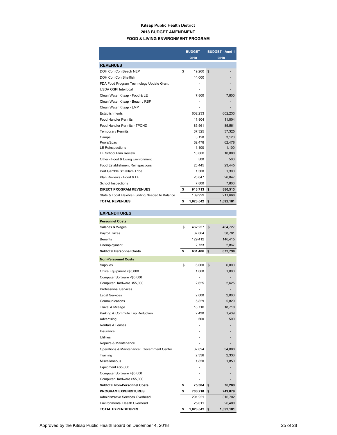### **Kitsap Public Health District 2018 BUDGET AMENDMENT FOOD & LIVING ENVIRONMENT PROGRAM**

|                                                  | <b>BUDGET</b><br>2018 | <b>BUDGET - Amd 1</b><br>2018 |
|--------------------------------------------------|-----------------------|-------------------------------|
| <b>REVENUES</b>                                  |                       |                               |
| DOH Con Con Beach NEP                            | \$<br>19,200          | \$                            |
| DOH Con Con Shellfish                            | 14,000                |                               |
| FDA Food Program Technology Update Grant         |                       |                               |
| <b>USDA OSPI Interlocal</b>                      |                       |                               |
| Clean Water Kitsap - Food & LE                   | 7.800                 | 7.800                         |
| Clean Water Kitsap - Beach / RSF                 |                       |                               |
| Clean Water Kitsap - LMP                         |                       |                               |
| Establishments                                   | 602,233               | 602,233                       |
| <b>Food Handler Permits</b>                      | 11,804                | 11,804                        |
| Food Handler Permits - TPCHD                     | 85.561                | 85.561                        |
| <b>Temporary Permits</b>                         | 37.325                | 37,325                        |
| Camps                                            | 3,120                 | 3,120                         |
| Pools/Spas                                       | 62.478                | 62.478                        |
| <b>LE Reinspections</b>                          | 1,100                 | 1,100                         |
| <b>LE School Plan Review</b>                     | 10,000                | 10,000                        |
| Other - Food & Living Environment                | 500                   | 500                           |
| <b>Food Establishment Reinspections</b>          | 23.445                | 23,445                        |
| Port Gamble S'Klallam Tribe                      | 1.300                 | 1.300                         |
| Plan Reviews - Food & LE                         | 26,047                | 26,047                        |
| School Inspections                               | 7,800                 | 7,800                         |
| <b>DIRECT PROGRAM REVENUES</b>                   | \$<br>913,713         | \$<br>880,513                 |
| State & Local Flexible Funding Needed to Balance | 109,929               | 211,668                       |
| <b>TOTAL REVENUES</b>                            | \$<br>1,023,642       | \$<br>1,092,181               |

### **Personnel Costs** Salaries & Wages \$ 462,257 \$ 484,727 Payroll Taxes 37,004 38,781 Benefits 129,412 146,415 Unemployment 2,733 2,867 **Subtotal Personnel Costs \$ 631,406 \$ 672,790**

**EXPENDITURES**

| <b>Non-Personnel Costs</b>                  |                 |                 |
|---------------------------------------------|-----------------|-----------------|
| Supplies                                    | \$<br>6,000     | 6,000<br>\$     |
| Office Equipment <\$5,000                   | 1,000           | 1,000           |
| Computer Software <\$5,000                  |                 |                 |
| Computer Hardware <\$5,000                  | 2,625           | 2,625           |
| <b>Professional Services</b>                |                 |                 |
| <b>Legal Services</b>                       | 2,000           | 2,000           |
| Communications                              | 5,829           | 5,829           |
| Travel & Mileage                            | 18,710          | 18,710          |
| Parking & Commute Trip Reduction            | 2,430           | 1,439           |
| Advertising                                 | 500             | 500             |
| Rentals & Leases                            |                 |                 |
| Insurance                                   |                 |                 |
| <b>Utilities</b>                            |                 |                 |
| Repairs & Maintenance                       |                 |                 |
| Operations & Maintenance: Government Center | 32,024          | 34,000          |
| Training                                    | 2,336           | 2,336           |
| Miscellaneous                               | 1,850           | 1,850           |
| Equipment >\$5,000                          |                 |                 |
| Computer Software >\$5,000                  |                 |                 |
| Computer Hardware >\$5,000                  |                 |                 |
| <b>Subtotal Non-Personnel Costs</b>         | \$<br>75,304    | \$<br>76,289    |
| <b>PROGRAM EXPENDITURES</b>                 | \$<br>706,710   | \$<br>749,079   |
| Administrative Services Overhead            | 291,921         | 316,702         |
| <b>Environmental Health Overhead</b>        | 25,011          | 26,400          |
| <b>TOTAL EXPENDITURES</b>                   | \$<br>1,023,642 | \$<br>1,092,181 |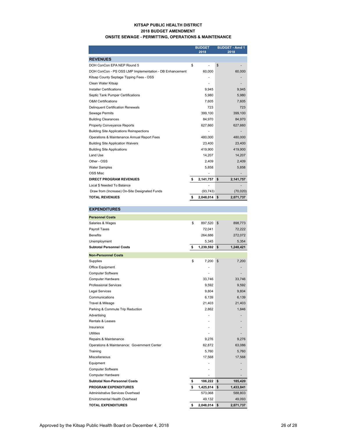### **KITSAP PUBLIC HEALTH DISTRICT 2018 BUDGET AMENDMENT ONSITE SEWAGE - PERMITTING, OPERATIONS & MAINTENANCE**

|                                                         | <b>BUDGET</b>   | <b>BUDGET - Amd 1</b> |
|---------------------------------------------------------|-----------------|-----------------------|
|                                                         | 2018            | 2018                  |
| <b>REVENUES</b>                                         |                 |                       |
| DOH ConCon EPA NEP Round 5                              | \$              | \$                    |
| DOH ConCon - PS OSS LMP Implementation - DB Enhancement | 60,000          | 60,000                |
| Kitsap County Septage Tipping Fees - OSS                |                 |                       |
| Clean Water Kitsap                                      |                 |                       |
| <b>Installer Certifications</b>                         | 9.945           | 9,945                 |
| Septic Tank Pumper Certifications                       | 5,980           | 5,980                 |
| <b>O&amp;M Certifications</b>                           | 7,605           | 7,605                 |
| <b>Delinquent Certification Renewals</b>                | 723             | 723                   |
| <b>Sewage Permits</b>                                   | 399.100         | 399,100               |
| <b>Building Clearances</b>                              | 84,970          | 84,970                |
| <b>Property Conveyance Reports</b>                      | 627,660         | 627,660               |
| <b>Building Site Applications Reinspections</b>         |                 |                       |
| Operations & Maintenance Annual Report Fees             | 480.000         | 480,000               |
| <b>Building Site Application Waivers</b>                | 23,400          | 23,400                |
| <b>Building Site Applications</b>                       | 419.900         | 419,900               |
| Land Use                                                | 14,207          | 14,207                |
| Other - OSS                                             | 2,409           | 2,409                 |
| <b>Water Samples</b>                                    | 5,858           | 5,858                 |
| <b>OSS Misc</b>                                         |                 |                       |
| <b>DIRECT PROGRAM REVENUES</b>                          | \$<br>2,141,757 | \$<br>2,141,757       |
| Local \$ Needed To Balance                              |                 |                       |
| Draw from (Increase) On-Site Designated Funds           | (93, 743)       | (70, 020)             |
| <b>TOTAL REVENUES</b>                                   | \$<br>2,048,014 | -\$<br>2,071,737      |

| <b>EXPENDITURES</b>                         |                 |                 |
|---------------------------------------------|-----------------|-----------------|
| <b>Personnel Costs</b>                      |                 |                 |
| Salaries & Wages                            | \$<br>897,520   | \$<br>898,773   |
| Payroll Taxes                               | 72,041          | 72,222          |
| <b>Benefits</b>                             | 264,686         | 272,072         |
| Unemployment                                | 5,345           | 5,354           |
| <b>Subtotal Personnel Costs</b>             | \$<br>1,239,592 | \$<br>1,248,421 |
| <b>Non-Personnel Costs</b>                  |                 |                 |
| Supplies                                    | \$<br>7.200     | \$<br>7,200     |
| Office Equipment                            |                 |                 |
| <b>Computer Software</b>                    |                 |                 |
| <b>Computer Hardware</b>                    | 33,746          | 33,746          |
| <b>Professional Services</b>                | 9,592           | 9,592           |
| <b>Legal Services</b>                       | 9,804           | 9,804           |
| Communications                              | 6,139           | 6,139           |
| Travel & Mileage                            | 21,403          | 21,403          |
| Parking & Commute Trip Reduction            | 2,862           | 1,846           |
| Advertising                                 |                 |                 |
| Rentals & Leases                            |                 |                 |
| Insurance                                   |                 |                 |
| <b>Utilities</b>                            |                 |                 |
| Repairs & Maintenance                       | 9,276           | 9,276           |
| Operations & Maintenance: Government Center | 62,872          | 63,086          |
| Training                                    | 5,760           | 5,760           |
| <b>Miscellaneous</b>                        | 17,568          | 17,568          |
| Equipment                                   | ä,              |                 |
| <b>Computer Software</b>                    |                 |                 |
| <b>Computer Hardware</b>                    |                 |                 |
| <b>Subtotal Non-Personnel Costs</b>         | \$<br>186,222   | \$<br>185,420   |
| <b>PROGRAM EXPENDITURES</b>                 | \$<br>1,425,814 | \$<br>1,433,841 |
| <b>Administrative Services Overhead</b>     | 573,068         | 588,803         |
| Environmental Health Overhead               | 49,132          | 49,093          |
| <b>TOTAL EXPENDITURES</b>                   | \$<br>2,048,014 | \$<br>2,071,737 |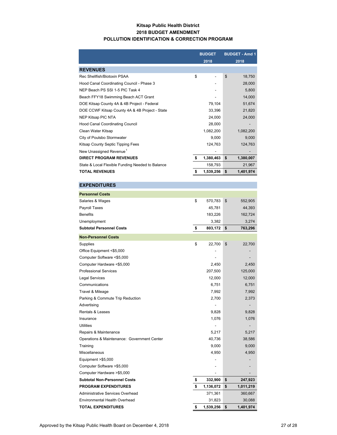### **Kitsap Public Health District 2018 BUDGET AMENDMENT POLLUTION IDENTIFICATION & CORRECTION PROGRAM**

|                                                  | <b>BUDGET</b>   |    | <b>BUDGET - Amd 1</b> |
|--------------------------------------------------|-----------------|----|-----------------------|
|                                                  | 2018            |    | 2018                  |
| <b>REVENUES</b>                                  |                 |    |                       |
| Rec Shellfish/Biotoxin PSAA                      | \$              | \$ | 18,750                |
| Hood Canal Coordinating Council - Phase 3        |                 |    | 28,000                |
| NEP Beach PS SSI 1-5 PIC Task 4                  |                 |    | 5,800                 |
| Beach FFY18 Swimming Beach ACT Grant             |                 |    | 14,000                |
| DOE Kitsap County 4A & 4B Project - Federal      | 79,104          |    | 51,674                |
| DOE CCWF Kitsap County 4A & 4B Project - State   | 33,396          |    | 21,820                |
| NEP Kitsap PIC NTA                               | 24,000          |    | 24,000                |
| <b>Hood Canal Coordinating Council</b>           | 28,000          |    |                       |
| Clean Water Kitsap                               | 1,082,200       |    | 1,082,200             |
| City of Poulsbo Stormwater                       | 9,000           |    | 9,000                 |
| Kitsap County Septic Tipping Fees                | 124,763         |    | 124,763               |
| New Unassigned Revenue <sup>1</sup>              |                 |    |                       |
| <b>DIRECT PROGRAM REVENUES</b>                   | \$<br>1,380,463 | \$ | 1,380,007             |
| State & Local Flexible Funding Needed to Balance | 158,793         |    | 21,967                |
| <b>TOTAL REVENUES</b>                            | 1,539,256       | \$ | 1,401,974             |
|                                                  |                 |    |                       |

### **EXPENDITURES Personnel Costs** Salaries & Wages 670,783 \$ 570,783 \$ 552,905 Payroll Taxes 44,393 Benefits 183,226 162,724 Unemployment 3,382 3,274 **Subtotal Personnel Costs 803,172 \$ 763,296 \$ Non-Personnel Costs** Supplies 22,700 \$ 22,700 \$ Office Equipment <\$5,000 Computer Software <\$5,000 - - Computer Hardware <\$5,000 2,450 2,450 Professional Services 207,500 125,000 **Legal Services** 12,000 12,000 12,000 12,000 12,000 12,000 12,000 12,000 12,000 12,000 12,000 12,000 12,000 12,000 12,000 12,000 12,000 12,000 12,000 12,000 12,000 12,000 12,000 12,000 12,000 12,000 12,000 12,000 12,000 12 Communications 6,751 6,751 Travel & Mileage 7,992 7,992 Parking & Commute Trip Reduction 2,700 2,373 Advertising the contract of the contract of the contract of the contract of the contract of the contract of the contract of the contract of the contract of the contract of the contract of the contract of the contract of th Rentals & Leases 9,828 9,828 Insurance 1,076 1,076 Utilities - - Repairs & Maintenance 6,217 5,217 Operations & Maintenance: Government Center 40,736 40,736 Training 9,000 9,000 Miscellaneous 4,950 4,950 4,950 4,950 4,950 4,950 4,950 4,950 4,950 4,950 4,950 4,950 4,950 4,950 4,950 4,950 4,950 4,950 4,950 4,950 4,950 4,950 4,950 4,950 4,950 4,950 4,950 4,950 4,950 4,950 4,950 4,950 4,950 4,950 4,95 Equipment  $> $5,000$ Computer Software >\$5,000 - - Computer Hardware > \$5,000 **Subtotal Non-Personnel Costs 332,900 \$ 247,923 \$ PROGRAM EXPENDITURES 1,136,072 \$** 1,136,072 **\$** 1,011,219 Administrative Services Overhead 371,361 360,667 Environmental Health Overhead 31,823 30,088 **TOTAL EXPENDITURES 1,539,256 \$ 1,401,974 \$**